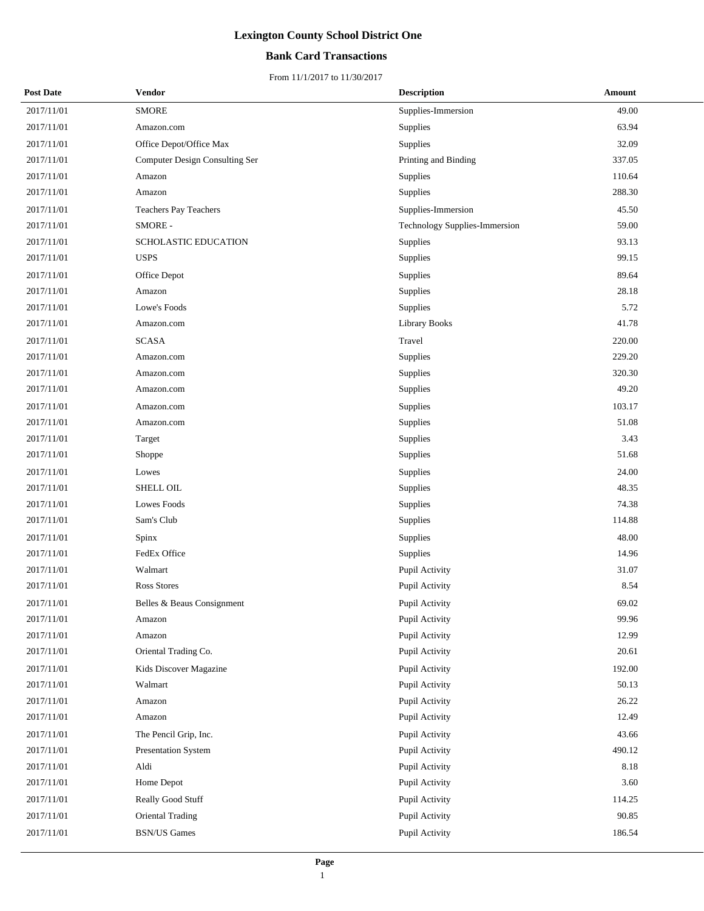### **Bank Card Transactions**

| <b>Post Date</b> | <b>Vendor</b>                  | <b>Description</b>            | Amount |
|------------------|--------------------------------|-------------------------------|--------|
| 2017/11/01       | <b>SMORE</b>                   | Supplies-Immersion            | 49.00  |
| 2017/11/01       | Amazon.com                     | Supplies                      | 63.94  |
| 2017/11/01       | Office Depot/Office Max        | Supplies                      | 32.09  |
| 2017/11/01       | Computer Design Consulting Ser | Printing and Binding          | 337.05 |
| 2017/11/01       | Amazon                         | Supplies                      | 110.64 |
| 2017/11/01       | Amazon                         | Supplies                      | 288.30 |
| 2017/11/01       | Teachers Pay Teachers          | Supplies-Immersion            | 45.50  |
| 2017/11/01       | SMORE -                        | Technology Supplies-Immersion | 59.00  |
| 2017/11/01       | SCHOLASTIC EDUCATION           | Supplies                      | 93.13  |
| 2017/11/01       | <b>USPS</b>                    | Supplies                      | 99.15  |
| 2017/11/01       | Office Depot                   | Supplies                      | 89.64  |
| 2017/11/01       | Amazon                         | Supplies                      | 28.18  |
| 2017/11/01       | Lowe's Foods                   | Supplies                      | 5.72   |
| 2017/11/01       | Amazon.com                     | Library Books                 | 41.78  |
| 2017/11/01       | <b>SCASA</b>                   | Travel                        | 220.00 |
| 2017/11/01       | Amazon.com                     | Supplies                      | 229.20 |
| 2017/11/01       | Amazon.com                     | Supplies                      | 320.30 |
| 2017/11/01       | Amazon.com                     | Supplies                      | 49.20  |
| 2017/11/01       | Amazon.com                     | Supplies                      | 103.17 |
| 2017/11/01       | Amazon.com                     | Supplies                      | 51.08  |
| 2017/11/01       | Target                         | Supplies                      | 3.43   |
| 2017/11/01       | Shoppe                         | Supplies                      | 51.68  |
| 2017/11/01       | Lowes                          | Supplies                      | 24.00  |
| 2017/11/01       | SHELL OIL                      | Supplies                      | 48.35  |
| 2017/11/01       | Lowes Foods                    | Supplies                      | 74.38  |
| 2017/11/01       | Sam's Club                     | Supplies                      | 114.88 |
| 2017/11/01       | Spinx                          | Supplies                      | 48.00  |
| 2017/11/01       | FedEx Office                   | Supplies                      | 14.96  |
| 2017/11/01       | Walmart                        | Pupil Activity                | 31.07  |
| 2017/11/01       | Ross Stores                    | Pupil Activity                | 8.54   |
| 2017/11/01       | Belles & Beaus Consignment     | Pupil Activity                | 69.02  |
| 2017/11/01       | Amazon                         | Pupil Activity                | 99.96  |
| 2017/11/01       | Amazon                         | Pupil Activity                | 12.99  |
| 2017/11/01       | Oriental Trading Co.           | Pupil Activity                | 20.61  |
| 2017/11/01       | Kids Discover Magazine         | Pupil Activity                | 192.00 |
| 2017/11/01       | Walmart                        | Pupil Activity                | 50.13  |
| 2017/11/01       | Amazon                         | Pupil Activity                | 26.22  |
| 2017/11/01       | Amazon                         | Pupil Activity                | 12.49  |
| 2017/11/01       | The Pencil Grip, Inc.          | Pupil Activity                | 43.66  |
| 2017/11/01       | Presentation System            | Pupil Activity                | 490.12 |
| 2017/11/01       | Aldi                           | Pupil Activity                | 8.18   |
| 2017/11/01       | Home Depot                     | Pupil Activity                | 3.60   |
| 2017/11/01       | Really Good Stuff              | Pupil Activity                | 114.25 |
| 2017/11/01       | Oriental Trading               | Pupil Activity                | 90.85  |
| 2017/11/01       | <b>BSN/US Games</b>            | Pupil Activity                | 186.54 |
|                  |                                |                               |        |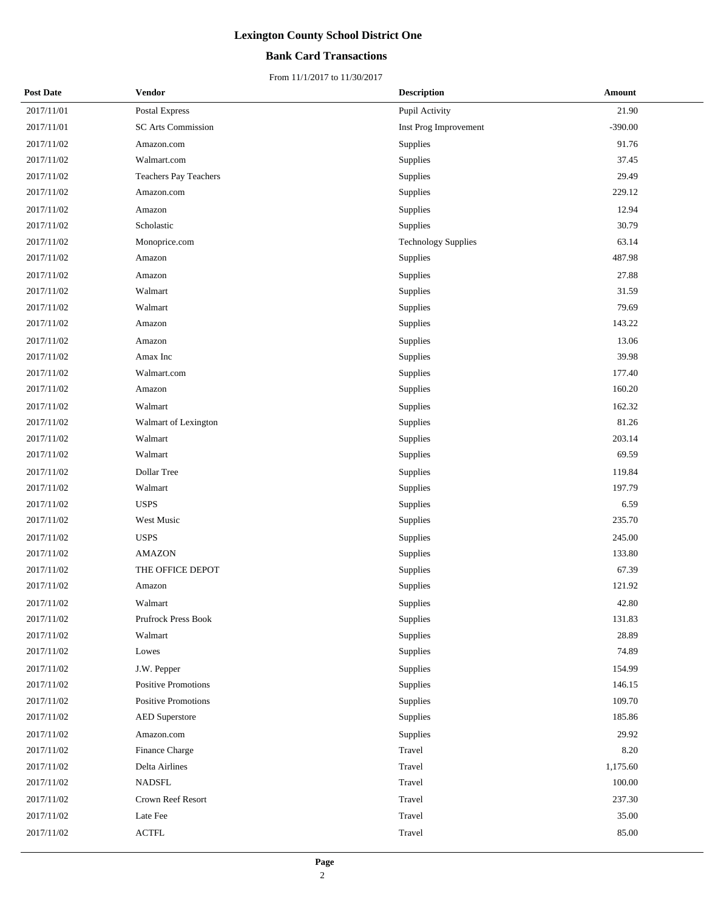### **Bank Card Transactions**

| <b>Post Date</b> | <b>Vendor</b>             | <b>Description</b>         | Amount    |
|------------------|---------------------------|----------------------------|-----------|
| 2017/11/01       | Postal Express            | Pupil Activity             | 21.90     |
| 2017/11/01       | <b>SC Arts Commission</b> | Inst Prog Improvement      | $-390.00$ |
| 2017/11/02       | Amazon.com                | Supplies                   | 91.76     |
| 2017/11/02       | Walmart.com               | Supplies                   | 37.45     |
| 2017/11/02       | Teachers Pay Teachers     | Supplies                   | 29.49     |
| 2017/11/02       | Amazon.com                | Supplies                   | 229.12    |
| 2017/11/02       | Amazon                    | Supplies                   | 12.94     |
| 2017/11/02       | Scholastic                | Supplies                   | 30.79     |
| 2017/11/02       | Monoprice.com             | <b>Technology Supplies</b> | 63.14     |
| 2017/11/02       | Amazon                    | Supplies                   | 487.98    |
| 2017/11/02       | Amazon                    | Supplies                   | 27.88     |
| 2017/11/02       | Walmart                   | Supplies                   | 31.59     |
| 2017/11/02       | Walmart                   | Supplies                   | 79.69     |
| 2017/11/02       | Amazon                    | Supplies                   | 143.22    |
| 2017/11/02       | Amazon                    | Supplies                   | 13.06     |
| 2017/11/02       | Amax Inc                  | Supplies                   | 39.98     |
| 2017/11/02       | Walmart.com               | Supplies                   | 177.40    |
| 2017/11/02       | Amazon                    | Supplies                   | 160.20    |
| 2017/11/02       | Walmart                   | Supplies                   | 162.32    |
| 2017/11/02       | Walmart of Lexington      | Supplies                   | 81.26     |
| 2017/11/02       | Walmart                   | Supplies                   | 203.14    |
| 2017/11/02       | Walmart                   | Supplies                   | 69.59     |
| 2017/11/02       | Dollar Tree               | Supplies                   | 119.84    |
| 2017/11/02       | Walmart                   | Supplies                   | 197.79    |
| 2017/11/02       | <b>USPS</b>               | Supplies                   | 6.59      |
| 2017/11/02       | West Music                | Supplies                   | 235.70    |
| 2017/11/02       | <b>USPS</b>               | Supplies                   | 245.00    |
| 2017/11/02       | <b>AMAZON</b>             | Supplies                   | 133.80    |
| 2017/11/02       | THE OFFICE DEPOT          | Supplies                   | 67.39     |
| 2017/11/02       | Amazon                    | Supplies                   | 121.92    |
| 2017/11/02       | Walmart                   | Supplies                   | 42.80     |
| 2017/11/02       | Prufrock Press Book       | Supplies                   | 131.83    |
| 2017/11/02       | Walmart                   | Supplies                   | 28.89     |
| 2017/11/02       | Lowes                     | Supplies                   | 74.89     |
| 2017/11/02       | J.W. Pepper               | Supplies                   | 154.99    |
| 2017/11/02       | Positive Promotions       | Supplies                   | 146.15    |
| 2017/11/02       | Positive Promotions       | Supplies                   | 109.70    |
| 2017/11/02       | <b>AED</b> Superstore     | Supplies                   | 185.86    |
| 2017/11/02       | Amazon.com                | Supplies                   | 29.92     |
| 2017/11/02       | Finance Charge            | Travel                     | 8.20      |
| 2017/11/02       | Delta Airlines            | Travel                     | 1,175.60  |
| 2017/11/02       | <b>NADSFL</b>             | Travel                     | 100.00    |
| 2017/11/02       | Crown Reef Resort         | Travel                     | 237.30    |
| 2017/11/02       | Late Fee                  | Travel                     | 35.00     |
| 2017/11/02       | $\operatorname{ACTFL}$    | Travel                     | 85.00     |
|                  |                           |                            |           |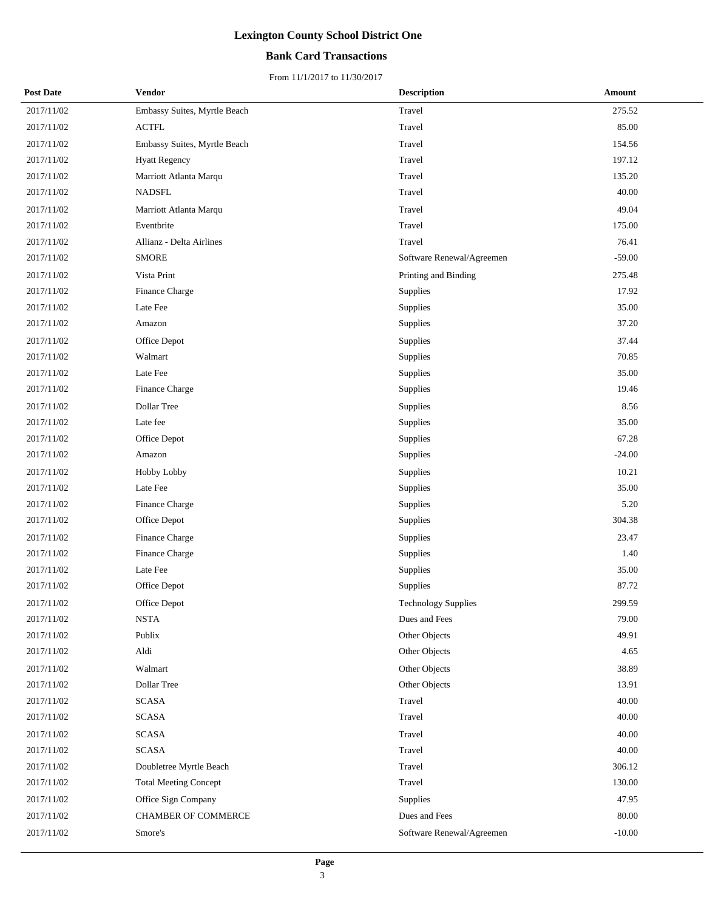### **Bank Card Transactions**

| <b>Post Date</b> | Vendor                       | <b>Description</b>         | Amount    |
|------------------|------------------------------|----------------------------|-----------|
| 2017/11/02       | Embassy Suites, Myrtle Beach | Travel                     | 275.52    |
| 2017/11/02       | <b>ACTFL</b>                 | Travel                     | 85.00     |
| 2017/11/02       | Embassy Suites, Myrtle Beach | Travel                     | 154.56    |
| 2017/11/02       | <b>Hyatt Regency</b>         | Travel                     | 197.12    |
| 2017/11/02       | Marriott Atlanta Marqu       | Travel                     | 135.20    |
| 2017/11/02       | <b>NADSFL</b>                | Travel                     | 40.00     |
| 2017/11/02       | Marriott Atlanta Marqu       | Travel                     | 49.04     |
| 2017/11/02       | Eventbrite                   | Travel                     | 175.00    |
| 2017/11/02       | Allianz - Delta Airlines     | Travel                     | 76.41     |
| 2017/11/02       | <b>SMORE</b>                 | Software Renewal/Agreemen  | $-59.00$  |
| 2017/11/02       | Vista Print                  | Printing and Binding       | 275.48    |
| 2017/11/02       | Finance Charge               | Supplies                   | 17.92     |
| 2017/11/02       | Late Fee                     | Supplies                   | 35.00     |
| 2017/11/02       | Amazon                       | Supplies                   | 37.20     |
| 2017/11/02       | Office Depot                 | Supplies                   | 37.44     |
| 2017/11/02       | Walmart                      | Supplies                   | 70.85     |
| 2017/11/02       | Late Fee                     | Supplies                   | 35.00     |
| 2017/11/02       | Finance Charge               | Supplies                   | 19.46     |
| 2017/11/02       | Dollar Tree                  | Supplies                   | 8.56      |
| 2017/11/02       | Late fee                     | Supplies                   | 35.00     |
| 2017/11/02       | Office Depot                 | Supplies                   | 67.28     |
| 2017/11/02       | Amazon                       | Supplies                   | $-24.00$  |
| 2017/11/02       | Hobby Lobby                  | Supplies                   | 10.21     |
| 2017/11/02       | Late Fee                     | Supplies                   | 35.00     |
| 2017/11/02       | Finance Charge               | Supplies                   | 5.20      |
| 2017/11/02       | Office Depot                 | Supplies                   | 304.38    |
| 2017/11/02       | Finance Charge               | Supplies                   | 23.47     |
| 2017/11/02       | Finance Charge               | Supplies                   | 1.40      |
| 2017/11/02       | Late Fee                     | Supplies                   | 35.00     |
| 2017/11/02       | Office Depot                 | Supplies                   | 87.72     |
| 2017/11/02       | Office Depot                 | <b>Technology Supplies</b> | 299.59    |
| 2017/11/02       | <b>NSTA</b>                  | Dues and Fees              | 79.00     |
| 2017/11/02       | Publix                       | Other Objects              | 49.91     |
| 2017/11/02       | Aldi                         | Other Objects              | 4.65      |
| 2017/11/02       | Walmart                      | Other Objects              | 38.89     |
| 2017/11/02       | Dollar Tree                  | Other Objects              | 13.91     |
| 2017/11/02       | <b>SCASA</b>                 | Travel                     | 40.00     |
| 2017/11/02       | <b>SCASA</b>                 | Travel                     | 40.00     |
| 2017/11/02       | <b>SCASA</b>                 | Travel                     | 40.00     |
| 2017/11/02       | <b>SCASA</b>                 | Travel                     | 40.00     |
| 2017/11/02       | Doubletree Myrtle Beach      | Travel                     | 306.12    |
| 2017/11/02       | <b>Total Meeting Concept</b> | Travel                     | 130.00    |
| 2017/11/02       | Office Sign Company          | Supplies                   | 47.95     |
| 2017/11/02       | CHAMBER OF COMMERCE          | Dues and Fees              | $80.00\,$ |
| 2017/11/02       | Smore's                      | Software Renewal/Agreemen  | $-10.00$  |
|                  |                              |                            |           |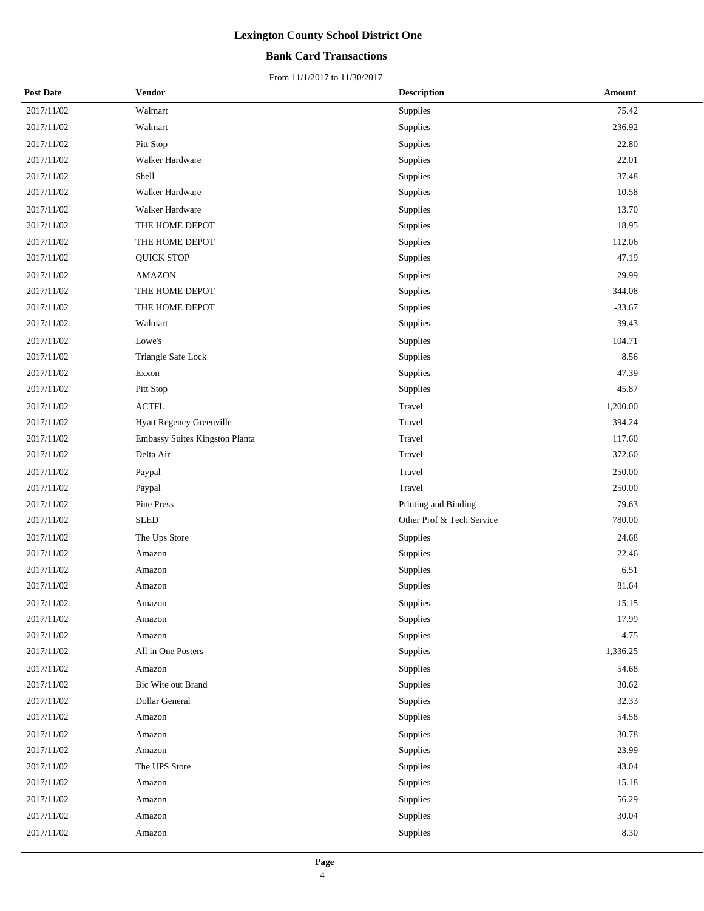### **Bank Card Transactions**

| <b>Post Date</b> | <b>Vendor</b>                  | <b>Description</b>        | <b>Amount</b> |
|------------------|--------------------------------|---------------------------|---------------|
| 2017/11/02       | Walmart                        | Supplies                  | 75.42         |
| 2017/11/02       | Walmart                        | Supplies                  | 236.92        |
| 2017/11/02       | Pitt Stop                      | Supplies                  | 22.80         |
| 2017/11/02       | Walker Hardware                | Supplies                  | 22.01         |
| 2017/11/02       | Shell                          | Supplies                  | 37.48         |
| 2017/11/02       | Walker Hardware                | Supplies                  | 10.58         |
| 2017/11/02       | Walker Hardware                | Supplies                  | 13.70         |
| 2017/11/02       | THE HOME DEPOT                 | Supplies                  | 18.95         |
| 2017/11/02       | THE HOME DEPOT                 | Supplies                  | 112.06        |
| 2017/11/02       | <b>QUICK STOP</b>              | Supplies                  | 47.19         |
| 2017/11/02       | <b>AMAZON</b>                  | Supplies                  | 29.99         |
| 2017/11/02       | THE HOME DEPOT                 | Supplies                  | 344.08        |
| 2017/11/02       | THE HOME DEPOT                 | Supplies                  | $-33.67$      |
| 2017/11/02       | Walmart                        | Supplies                  | 39.43         |
| 2017/11/02       | Lowe's                         | Supplies                  | 104.71        |
| 2017/11/02       | Triangle Safe Lock             | Supplies                  | 8.56          |
| 2017/11/02       | Exxon                          | Supplies                  | 47.39         |
| 2017/11/02       | Pitt Stop                      | Supplies                  | 45.87         |
| 2017/11/02       | <b>ACTFL</b>                   | Travel                    | 1,200.00      |
| 2017/11/02       | Hyatt Regency Greenville       | Travel                    | 394.24        |
| 2017/11/02       | Embassy Suites Kingston Planta | Travel                    | 117.60        |
| 2017/11/02       | Delta Air                      | Travel                    | 372.60        |
| 2017/11/02       | Paypal                         | Travel                    | 250.00        |
| 2017/11/02       | Paypal                         | Travel                    | 250.00        |
| 2017/11/02       | Pine Press                     | Printing and Binding      | 79.63         |
| 2017/11/02       | <b>SLED</b>                    | Other Prof & Tech Service | 780.00        |
| 2017/11/02       | The Ups Store                  | Supplies                  | 24.68         |
| 2017/11/02       | Amazon                         | Supplies                  | 22.46         |
| 2017/11/02       | Amazon                         | Supplies                  | 6.51          |
| 2017/11/02       | Amazon                         | Supplies                  | 81.64         |
| 2017/11/02       | Amazon                         | Supplies                  | 15.15         |
| 2017/11/02       | Amazon                         | Supplies                  | 17.99         |
| 2017/11/02       | Amazon                         | Supplies                  | 4.75          |
| 2017/11/02       | All in One Posters             | Supplies                  | 1,336.25      |
| 2017/11/02       | Amazon                         | Supplies                  | 54.68         |
| 2017/11/02       | Bic Wite out Brand             | Supplies                  | 30.62         |
| 2017/11/02       | Dollar General                 | Supplies                  | 32.33         |
| 2017/11/02       | Amazon                         | Supplies                  | 54.58         |
| 2017/11/02       | Amazon                         | Supplies                  | 30.78         |
| 2017/11/02       | Amazon                         | Supplies                  | 23.99         |
| 2017/11/02       | The UPS Store                  | Supplies                  | 43.04         |
| 2017/11/02       | Amazon                         | Supplies                  | 15.18         |
| 2017/11/02       | Amazon                         | Supplies                  | 56.29         |
| 2017/11/02       | Amazon                         | Supplies                  | 30.04         |
| 2017/11/02       | Amazon                         | Supplies                  | 8.30          |
|                  |                                |                           |               |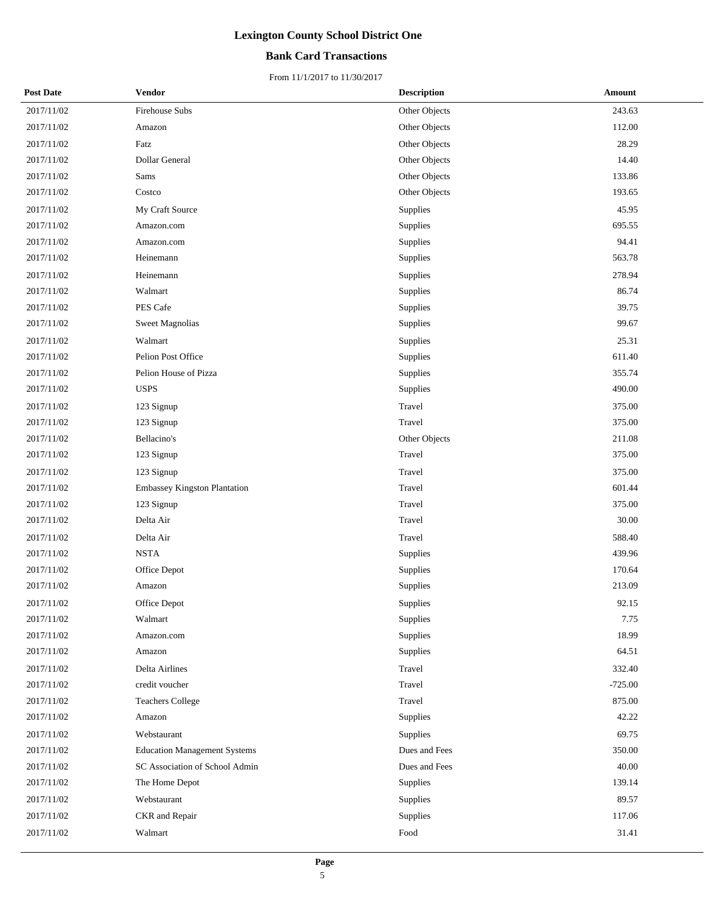### **Bank Card Transactions**

| <b>Post Date</b> | <b>Vendor</b>                       | <b>Description</b> | Amount    |
|------------------|-------------------------------------|--------------------|-----------|
| 2017/11/02       | Firehouse Subs                      | Other Objects      | 243.63    |
| 2017/11/02       | Amazon                              | Other Objects      | 112.00    |
| 2017/11/02       | Fatz                                | Other Objects      | 28.29     |
| 2017/11/02       | Dollar General                      | Other Objects      | 14.40     |
| 2017/11/02       | Sams                                | Other Objects      | 133.86    |
| 2017/11/02       | Costco                              | Other Objects      | 193.65    |
| 2017/11/02       | My Craft Source                     | Supplies           | 45.95     |
| 2017/11/02       | Amazon.com                          | Supplies           | 695.55    |
| 2017/11/02       | Amazon.com                          | Supplies           | 94.41     |
| 2017/11/02       | Heinemann                           | Supplies           | 563.78    |
| 2017/11/02       | Heinemann                           | Supplies           | 278.94    |
| 2017/11/02       | Walmart                             | Supplies           | 86.74     |
| 2017/11/02       | PES Cafe                            | Supplies           | 39.75     |
| 2017/11/02       | <b>Sweet Magnolias</b>              | Supplies           | 99.67     |
| 2017/11/02       | Walmart                             | Supplies           | 25.31     |
| 2017/11/02       | Pelion Post Office                  | Supplies           | 611.40    |
| 2017/11/02       | Pelion House of Pizza               | Supplies           | 355.74    |
| 2017/11/02       | <b>USPS</b>                         | Supplies           | 490.00    |
| 2017/11/02       | 123 Signup                          | Travel             | 375.00    |
| 2017/11/02       | 123 Signup                          | Travel             | 375.00    |
| 2017/11/02       | Bellacino's                         | Other Objects      | 211.08    |
| 2017/11/02       | 123 Signup                          | Travel             | 375.00    |
| 2017/11/02       | 123 Signup                          | Travel             | 375.00    |
| 2017/11/02       | <b>Embassey Kingston Plantation</b> | Travel             | 601.44    |
| 2017/11/02       | 123 Signup                          | Travel             | 375.00    |
| 2017/11/02       | Delta Air                           | Travel             | 30.00     |
| 2017/11/02       | Delta Air                           | Travel             | 588.40    |
| 2017/11/02       | $\operatorname{NSTA}$               | Supplies           | 439.96    |
| 2017/11/02       | Office Depot                        | Supplies           | 170.64    |
| 2017/11/02       | Amazon                              | Supplies           | 213.09    |
| 2017/11/02       | Office Depot                        | Supplies           | 92.15     |
| 2017/11/02       | Walmart                             | Supplies           | 7.75      |
| 2017/11/02       | Amazon.com                          | Supplies           | 18.99     |
| 2017/11/02       | Amazon                              | Supplies           | 64.51     |
| 2017/11/02       | Delta Airlines                      | Travel             | 332.40    |
| 2017/11/02       | credit voucher                      | Travel             | $-725.00$ |
| 2017/11/02       | <b>Teachers College</b>             | Travel             | 875.00    |
| 2017/11/02       | Amazon                              | Supplies           | 42.22     |
| 2017/11/02       | Webstaurant                         | Supplies           | 69.75     |
| 2017/11/02       | <b>Education Management Systems</b> | Dues and Fees      | 350.00    |
| 2017/11/02       | SC Association of School Admin      | Dues and Fees      | 40.00     |
| 2017/11/02       | The Home Depot                      | Supplies           | 139.14    |
| 2017/11/02       | Webstaurant                         | Supplies           | 89.57     |
| 2017/11/02       | CKR and Repair                      | Supplies           | 117.06    |
| 2017/11/02       | Walmart                             | Food               | 31.41     |
|                  |                                     |                    |           |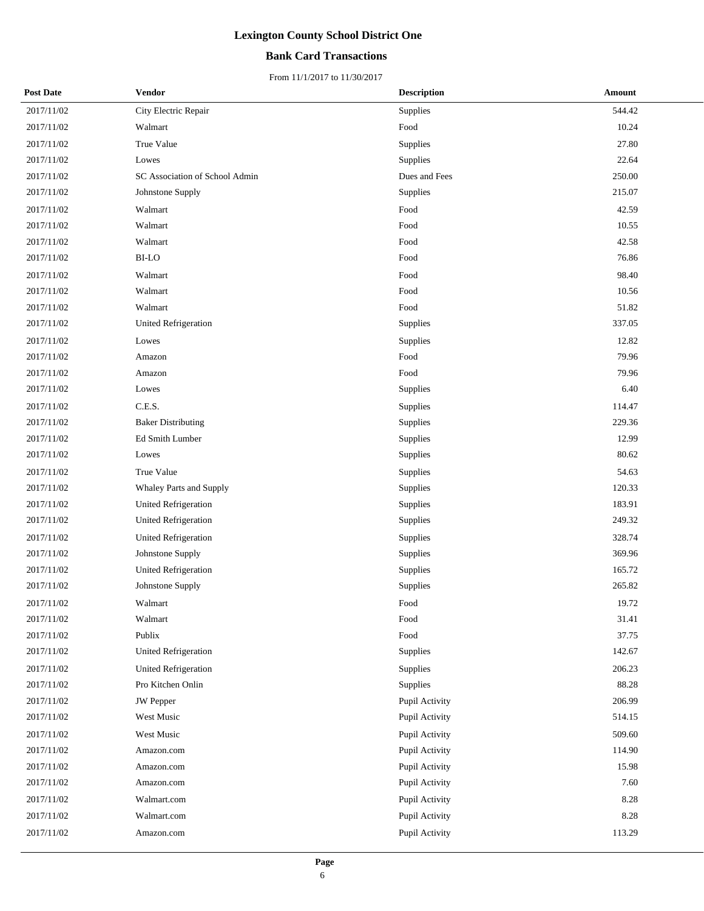### **Bank Card Transactions**

| <b>Post Date</b> | <b>Vendor</b>                  | <b>Description</b> | Amount |
|------------------|--------------------------------|--------------------|--------|
| 2017/11/02       | City Electric Repair           | Supplies           | 544.42 |
| 2017/11/02       | Walmart                        | Food               | 10.24  |
| 2017/11/02       | True Value                     | Supplies           | 27.80  |
| 2017/11/02       | Lowes                          | Supplies           | 22.64  |
| 2017/11/02       | SC Association of School Admin | Dues and Fees      | 250.00 |
| 2017/11/02       | Johnstone Supply               | Supplies           | 215.07 |
| 2017/11/02       | Walmart                        | Food               | 42.59  |
| 2017/11/02       | Walmart                        | Food               | 10.55  |
| 2017/11/02       | Walmart                        | Food               | 42.58  |
| 2017/11/02       | <b>BI-LO</b>                   | Food               | 76.86  |
| 2017/11/02       | Walmart                        | Food               | 98.40  |
| 2017/11/02       | Walmart                        | Food               | 10.56  |
| 2017/11/02       | Walmart                        | Food               | 51.82  |
| 2017/11/02       | United Refrigeration           | Supplies           | 337.05 |
| 2017/11/02       | Lowes                          | Supplies           | 12.82  |
| 2017/11/02       | Amazon                         | Food               | 79.96  |
| 2017/11/02       | Amazon                         | Food               | 79.96  |
| 2017/11/02       | Lowes                          | Supplies           | 6.40   |
| 2017/11/02       | C.E.S.                         | Supplies           | 114.47 |
| 2017/11/02       | <b>Baker Distributing</b>      | Supplies           | 229.36 |
| 2017/11/02       | Ed Smith Lumber                | Supplies           | 12.99  |
| 2017/11/02       | Lowes                          | Supplies           | 80.62  |
| 2017/11/02       | True Value                     | Supplies           | 54.63  |
| 2017/11/02       | Whaley Parts and Supply        | Supplies           | 120.33 |
| 2017/11/02       | <b>United Refrigeration</b>    | Supplies           | 183.91 |
| 2017/11/02       | United Refrigeration           | Supplies           | 249.32 |
| 2017/11/02       | <b>United Refrigeration</b>    | Supplies           | 328.74 |
| 2017/11/02       | Johnstone Supply               | Supplies           | 369.96 |
| 2017/11/02       | <b>United Refrigeration</b>    | Supplies           | 165.72 |
| 2017/11/02       | Johnstone Supply               | Supplies           | 265.82 |
| 2017/11/02       | Walmart                        | Food               | 19.72  |
| 2017/11/02       | Walmart                        | Food               | 31.41  |
| 2017/11/02       | Publix                         | Food               | 37.75  |
| 2017/11/02       | United Refrigeration           | Supplies           | 142.67 |
| 2017/11/02       | <b>United Refrigeration</b>    | Supplies           | 206.23 |
| 2017/11/02       | Pro Kitchen Onlin              | Supplies           | 88.28  |
| 2017/11/02       | JW Pepper                      | Pupil Activity     | 206.99 |
| 2017/11/02       | West Music                     | Pupil Activity     | 514.15 |
| 2017/11/02       | West Music                     | Pupil Activity     | 509.60 |
| 2017/11/02       | Amazon.com                     | Pupil Activity     | 114.90 |
| 2017/11/02       | Amazon.com                     | Pupil Activity     | 15.98  |
| 2017/11/02       | Amazon.com                     | Pupil Activity     | 7.60   |
| 2017/11/02       | Walmart.com                    | Pupil Activity     | 8.28   |
| 2017/11/02       | Walmart.com                    | Pupil Activity     | 8.28   |
| 2017/11/02       | Amazon.com                     | Pupil Activity     | 113.29 |
|                  |                                |                    |        |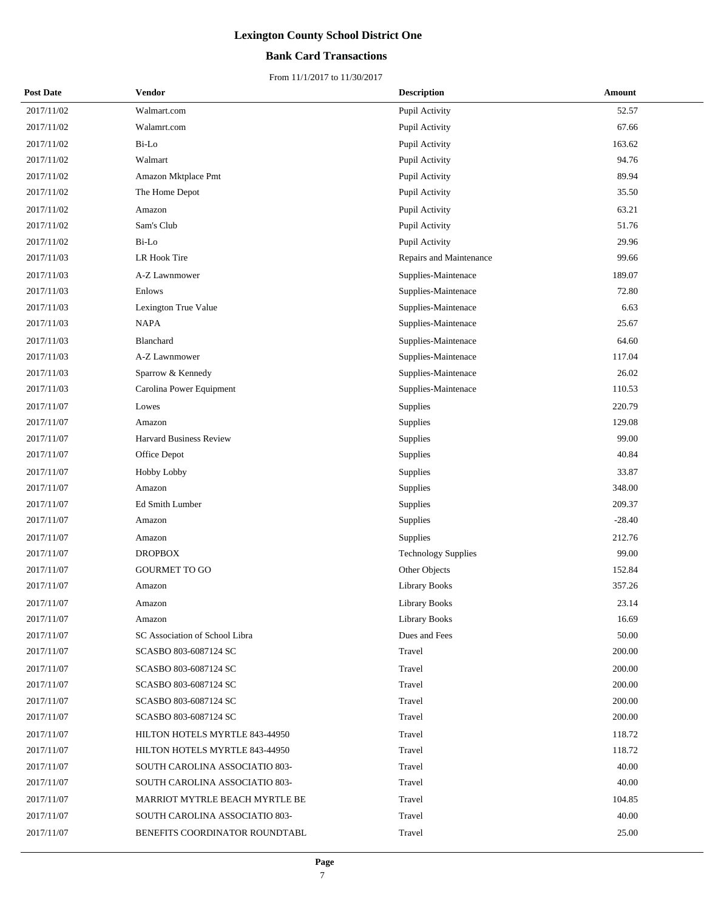### **Bank Card Transactions**

| <b>Post Date</b> | <b>Vendor</b>                  | <b>Description</b>         | Amount   |
|------------------|--------------------------------|----------------------------|----------|
| 2017/11/02       | Walmart.com                    | Pupil Activity             | 52.57    |
| 2017/11/02       | Walamrt.com                    | Pupil Activity             | 67.66    |
| 2017/11/02       | Bi-Lo                          | Pupil Activity             | 163.62   |
| 2017/11/02       | Walmart                        | Pupil Activity             | 94.76    |
| 2017/11/02       | Amazon Mktplace Pmt            | Pupil Activity             | 89.94    |
| 2017/11/02       | The Home Depot                 | Pupil Activity             | 35.50    |
| 2017/11/02       | Amazon                         | Pupil Activity             | 63.21    |
| 2017/11/02       | Sam's Club                     | Pupil Activity             | 51.76    |
| 2017/11/02       | Bi-Lo                          | Pupil Activity             | 29.96    |
| 2017/11/03       | LR Hook Tire                   | Repairs and Maintenance    | 99.66    |
| 2017/11/03       | A-Z Lawnmower                  | Supplies-Maintenace        | 189.07   |
| 2017/11/03       | Enlows                         | Supplies-Maintenace        | 72.80    |
| 2017/11/03       | Lexington True Value           | Supplies-Maintenace        | 6.63     |
| 2017/11/03       | <b>NAPA</b>                    | Supplies-Maintenace        | 25.67    |
| 2017/11/03       | Blanchard                      | Supplies-Maintenace        | 64.60    |
| 2017/11/03       | A-Z Lawnmower                  | Supplies-Maintenace        | 117.04   |
| 2017/11/03       | Sparrow & Kennedy              | Supplies-Maintenace        | 26.02    |
| 2017/11/03       | Carolina Power Equipment       | Supplies-Maintenace        | 110.53   |
| 2017/11/07       | Lowes                          | Supplies                   | 220.79   |
| 2017/11/07       | Amazon                         | Supplies                   | 129.08   |
| 2017/11/07       | <b>Harvard Business Review</b> | Supplies                   | 99.00    |
| 2017/11/07       | Office Depot                   | Supplies                   | 40.84    |
| 2017/11/07       | Hobby Lobby                    | Supplies                   | 33.87    |
| 2017/11/07       | Amazon                         | Supplies                   | 348.00   |
| 2017/11/07       | Ed Smith Lumber                | Supplies                   | 209.37   |
| 2017/11/07       | Amazon                         | Supplies                   | $-28.40$ |
| 2017/11/07       | Amazon                         | <b>Supplies</b>            | 212.76   |
| 2017/11/07       | <b>DROPBOX</b>                 | <b>Technology Supplies</b> | 99.00    |
| 2017/11/07       | <b>GOURMET TO GO</b>           | Other Objects              | 152.84   |
| 2017/11/07       | Amazon                         | <b>Library Books</b>       | 357.26   |
| 2017/11/07       | Amazon                         | Library Books              | 23.14    |
| 2017/11/07       | Amazon                         | Library Books              | 16.69    |
| 2017/11/07       | SC Association of School Libra | Dues and Fees              | 50.00    |
| 2017/11/07       | SCASBO 803-6087124 SC          | Travel                     | 200.00   |
| 2017/11/07       | SCASBO 803-6087124 SC          | Travel                     | 200.00   |
| 2017/11/07       | SCASBO 803-6087124 SC          | Travel                     | 200.00   |
| 2017/11/07       | SCASBO 803-6087124 SC          | Travel                     | 200.00   |
| 2017/11/07       | SCASBO 803-6087124 SC          | Travel                     | 200.00   |
| 2017/11/07       | HILTON HOTELS MYRTLE 843-44950 | Travel                     | 118.72   |
| 2017/11/07       | HILTON HOTELS MYRTLE 843-44950 | Travel                     | 118.72   |
| 2017/11/07       | SOUTH CAROLINA ASSOCIATIO 803- | Travel                     | 40.00    |
| 2017/11/07       | SOUTH CAROLINA ASSOCIATIO 803- | Travel                     | 40.00    |
| 2017/11/07       | MARRIOT MYTRLE BEACH MYRTLE BE | Travel                     | 104.85   |
| 2017/11/07       | SOUTH CAROLINA ASSOCIATIO 803- | Travel                     | 40.00    |
| 2017/11/07       | BENEFITS COORDINATOR ROUNDTABL | Travel                     | 25.00    |
|                  |                                |                            |          |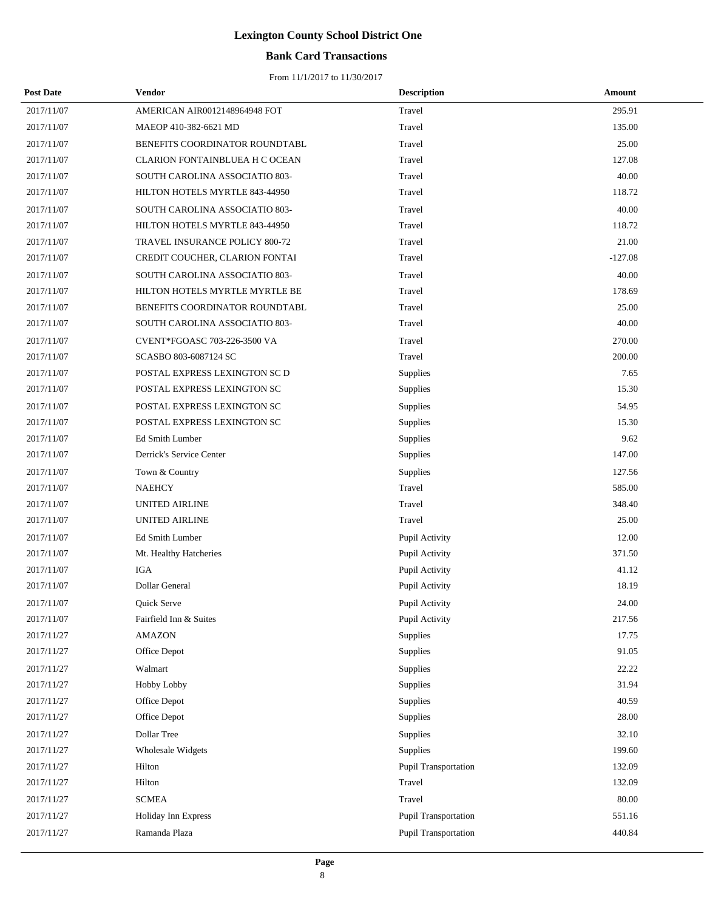### **Bank Card Transactions**

| <b>Post Date</b> | Vendor                         | <b>Description</b>          | Amount    |
|------------------|--------------------------------|-----------------------------|-----------|
| 2017/11/07       | AMERICAN AIR0012148964948 FOT  | Travel                      | 295.91    |
| 2017/11/07       | MAEOP 410-382-6621 MD          | Travel                      | 135.00    |
| 2017/11/07       | BENEFITS COORDINATOR ROUNDTABL | Travel                      | 25.00     |
| 2017/11/07       | CLARION FONTAINBLUEA H C OCEAN | Travel                      | 127.08    |
| 2017/11/07       | SOUTH CAROLINA ASSOCIATIO 803- | Travel                      | 40.00     |
| 2017/11/07       | HILTON HOTELS MYRTLE 843-44950 | Travel                      | 118.72    |
| 2017/11/07       | SOUTH CAROLINA ASSOCIATIO 803- | Travel                      | 40.00     |
| 2017/11/07       | HILTON HOTELS MYRTLE 843-44950 | Travel                      | 118.72    |
| 2017/11/07       | TRAVEL INSURANCE POLICY 800-72 | Travel                      | 21.00     |
| 2017/11/07       | CREDIT COUCHER, CLARION FONTAI | Travel                      | $-127.08$ |
| 2017/11/07       | SOUTH CAROLINA ASSOCIATIO 803- | Travel                      | 40.00     |
| 2017/11/07       | HILTON HOTELS MYRTLE MYRTLE BE | Travel                      | 178.69    |
| 2017/11/07       | BENEFITS COORDINATOR ROUNDTABL | Travel                      | 25.00     |
| 2017/11/07       | SOUTH CAROLINA ASSOCIATIO 803- | Travel                      | 40.00     |
| 2017/11/07       | CVENT*FGOASC 703-226-3500 VA   | Travel                      | 270.00    |
| 2017/11/07       | SCASBO 803-6087124 SC          | Travel                      | 200.00    |
| 2017/11/07       | POSTAL EXPRESS LEXINGTON SC D  | Supplies                    | 7.65      |
| 2017/11/07       | POSTAL EXPRESS LEXINGTON SC    | Supplies                    | 15.30     |
| 2017/11/07       | POSTAL EXPRESS LEXINGTON SC    | Supplies                    | 54.95     |
| 2017/11/07       | POSTAL EXPRESS LEXINGTON SC    | Supplies                    | 15.30     |
| 2017/11/07       | Ed Smith Lumber                | Supplies                    | 9.62      |
| 2017/11/07       | Derrick's Service Center       | Supplies                    | 147.00    |
| 2017/11/07       | Town & Country                 | Supplies                    | 127.56    |
| 2017/11/07       | <b>NAEHCY</b>                  | Travel                      | 585.00    |
| 2017/11/07       | <b>UNITED AIRLINE</b>          | Travel                      | 348.40    |
| 2017/11/07       | <b>UNITED AIRLINE</b>          | Travel                      | 25.00     |
| 2017/11/07       | <b>Ed Smith Lumber</b>         | Pupil Activity              | 12.00     |
| 2017/11/07       | Mt. Healthy Hatcheries         | Pupil Activity              | 371.50    |
| 2017/11/07       | <b>IGA</b>                     | Pupil Activity              | 41.12     |
| 2017/11/07       | Dollar General                 | Pupil Activity              | 18.19     |
| 2017/11/07       | Quick Serve                    | Pupil Activity              | 24.00     |
| 2017/11/07       | Fairfield Inn & Suites         | Pupil Activity              | 217.56    |
| 2017/11/27       | <b>AMAZON</b>                  | <b>Supplies</b>             | 17.75     |
| 2017/11/27       | Office Depot                   | Supplies                    | 91.05     |
| 2017/11/27       | Walmart                        | Supplies                    | 22.22     |
| 2017/11/27       | Hobby Lobby                    | Supplies                    | 31.94     |
| 2017/11/27       | Office Depot                   | Supplies                    | 40.59     |
| 2017/11/27       | Office Depot                   | Supplies                    | 28.00     |
| 2017/11/27       | Dollar Tree                    | Supplies                    | 32.10     |
| 2017/11/27       | <b>Wholesale Widgets</b>       | Supplies                    | 199.60    |
| 2017/11/27       | Hilton                         | Pupil Transportation        | 132.09    |
| 2017/11/27       | Hilton                         | Travel                      | 132.09    |
| 2017/11/27       | <b>SCMEA</b>                   | Travel                      | 80.00     |
| 2017/11/27       | Holiday Inn Express            | <b>Pupil Transportation</b> | 551.16    |
| 2017/11/27       | Ramanda Plaza                  | <b>Pupil Transportation</b> | 440.84    |
|                  |                                |                             |           |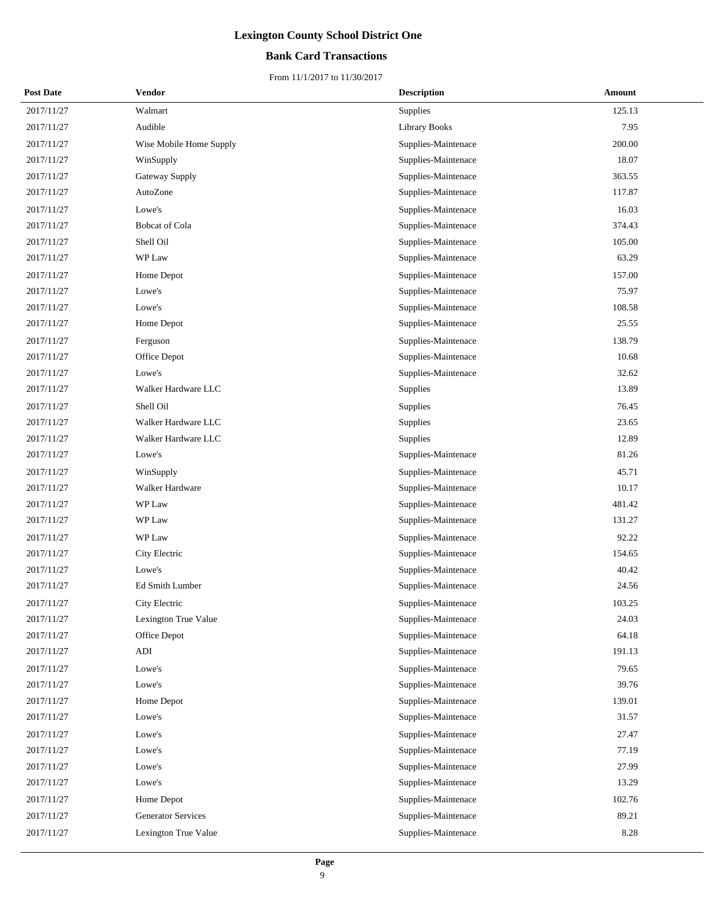### **Bank Card Transactions**

| <b>Post Date</b> | <b>Vendor</b>             | <b>Description</b>   | Amount |
|------------------|---------------------------|----------------------|--------|
| 2017/11/27       | Walmart                   | Supplies             | 125.13 |
| 2017/11/27       | Audible                   | <b>Library Books</b> | 7.95   |
| 2017/11/27       | Wise Mobile Home Supply   | Supplies-Maintenace  | 200.00 |
| 2017/11/27       | WinSupply                 | Supplies-Maintenace  | 18.07  |
| 2017/11/27       | Gateway Supply            | Supplies-Maintenace  | 363.55 |
| 2017/11/27       | AutoZone                  | Supplies-Maintenace  | 117.87 |
| 2017/11/27       | Lowe's                    | Supplies-Maintenace  | 16.03  |
| 2017/11/27       | <b>Bobcat of Cola</b>     | Supplies-Maintenace  | 374.43 |
| 2017/11/27       | Shell Oil                 | Supplies-Maintenace  | 105.00 |
| 2017/11/27       | WP Law                    | Supplies-Maintenace  | 63.29  |
| 2017/11/27       | Home Depot                | Supplies-Maintenace  | 157.00 |
| 2017/11/27       | Lowe's                    | Supplies-Maintenace  | 75.97  |
| 2017/11/27       | Lowe's                    | Supplies-Maintenace  | 108.58 |
| 2017/11/27       | Home Depot                | Supplies-Maintenace  | 25.55  |
| 2017/11/27       | Ferguson                  | Supplies-Maintenace  | 138.79 |
| 2017/11/27       | Office Depot              | Supplies-Maintenace  | 10.68  |
| 2017/11/27       | Lowe's                    | Supplies-Maintenace  | 32.62  |
| 2017/11/27       | Walker Hardware LLC       | Supplies             | 13.89  |
| 2017/11/27       | Shell Oil                 | Supplies             | 76.45  |
| 2017/11/27       | Walker Hardware LLC       | Supplies             | 23.65  |
| 2017/11/27       | Walker Hardware LLC       | Supplies             | 12.89  |
| 2017/11/27       | Lowe's                    | Supplies-Maintenace  | 81.26  |
| 2017/11/27       | WinSupply                 | Supplies-Maintenace  | 45.71  |
| 2017/11/27       | Walker Hardware           | Supplies-Maintenace  | 10.17  |
| 2017/11/27       | WP Law                    | Supplies-Maintenace  | 481.42 |
| 2017/11/27       | WP Law                    | Supplies-Maintenace  | 131.27 |
| 2017/11/27       | WP Law                    | Supplies-Maintenace  | 92.22  |
| 2017/11/27       | City Electric             | Supplies-Maintenace  | 154.65 |
| 2017/11/27       | Lowe's                    | Supplies-Maintenace  | 40.42  |
| 2017/11/27       | Ed Smith Lumber           | Supplies-Maintenace  | 24.56  |
| 2017/11/27       | City Electric             | Supplies-Maintenace  | 103.25 |
| 2017/11/27       | Lexington True Value      | Supplies-Maintenace  | 24.03  |
| 2017/11/27       | Office Depot              | Supplies-Maintenace  | 64.18  |
| 2017/11/27       | ADI                       | Supplies-Maintenace  | 191.13 |
| 2017/11/27       | Lowe's                    | Supplies-Maintenace  | 79.65  |
| 2017/11/27       | Lowe's                    | Supplies-Maintenace  | 39.76  |
| 2017/11/27       | Home Depot                | Supplies-Maintenace  | 139.01 |
| 2017/11/27       | Lowe's                    | Supplies-Maintenace  | 31.57  |
| 2017/11/27       | Lowe's                    | Supplies-Maintenace  | 27.47  |
| 2017/11/27       | Lowe's                    | Supplies-Maintenace  | 77.19  |
| 2017/11/27       | Lowe's                    | Supplies-Maintenace  | 27.99  |
| 2017/11/27       | Lowe's                    | Supplies-Maintenace  | 13.29  |
| 2017/11/27       | Home Depot                | Supplies-Maintenace  | 102.76 |
| 2017/11/27       | <b>Generator Services</b> | Supplies-Maintenace  | 89.21  |
| 2017/11/27       | Lexington True Value      | Supplies-Maintenace  | 8.28   |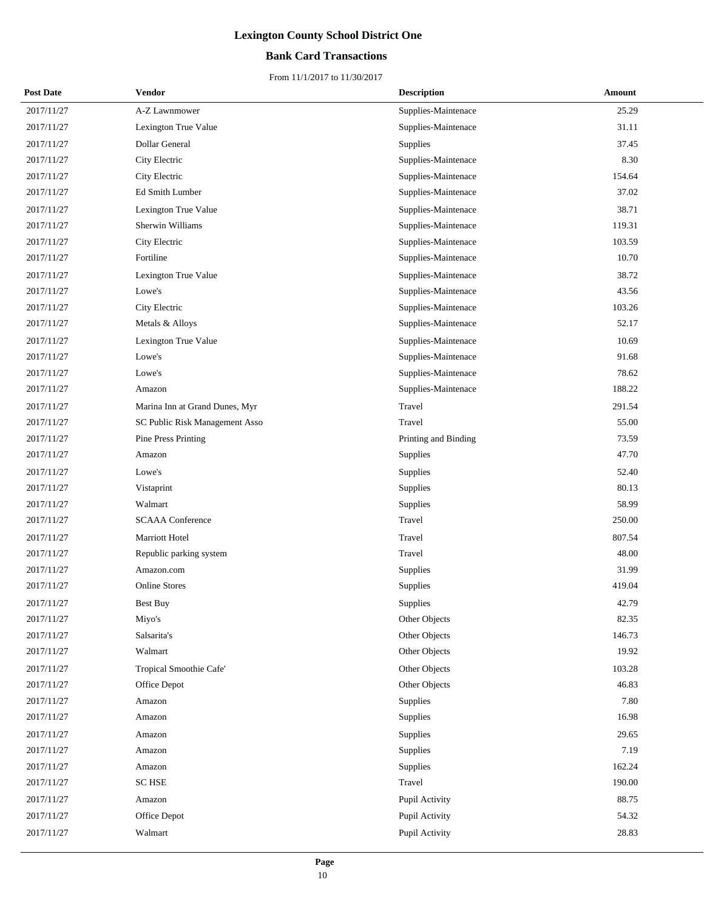### **Bank Card Transactions**

| <b>Post Date</b> | <b>Vendor</b>                  | <b>Description</b>   | Amount |
|------------------|--------------------------------|----------------------|--------|
| 2017/11/27       | A-Z Lawnmower                  | Supplies-Maintenace  | 25.29  |
| 2017/11/27       | Lexington True Value           | Supplies-Maintenace  | 31.11  |
| 2017/11/27       | Dollar General                 | <b>Supplies</b>      | 37.45  |
| 2017/11/27       | City Electric                  | Supplies-Maintenace  | 8.30   |
| 2017/11/27       | City Electric                  | Supplies-Maintenace  | 154.64 |
| 2017/11/27       | Ed Smith Lumber                | Supplies-Maintenace  | 37.02  |
| 2017/11/27       | Lexington True Value           | Supplies-Maintenace  | 38.71  |
| 2017/11/27       | Sherwin Williams               | Supplies-Maintenace  | 119.31 |
| 2017/11/27       | City Electric                  | Supplies-Maintenace  | 103.59 |
| 2017/11/27       | Fortiline                      | Supplies-Maintenace  | 10.70  |
| 2017/11/27       | Lexington True Value           | Supplies-Maintenace  | 38.72  |
| 2017/11/27       | Lowe's                         | Supplies-Maintenace  | 43.56  |
| 2017/11/27       | City Electric                  | Supplies-Maintenace  | 103.26 |
| 2017/11/27       | Metals & Alloys                | Supplies-Maintenace  | 52.17  |
| 2017/11/27       | Lexington True Value           | Supplies-Maintenace  | 10.69  |
| 2017/11/27       | Lowe's                         | Supplies-Maintenace  | 91.68  |
| 2017/11/27       | Lowe's                         | Supplies-Maintenace  | 78.62  |
| 2017/11/27       | Amazon                         | Supplies-Maintenace  | 188.22 |
| 2017/11/27       | Marina Inn at Grand Dunes, Myr | Travel               | 291.54 |
| 2017/11/27       | SC Public Risk Management Asso | Travel               | 55.00  |
| 2017/11/27       | <b>Pine Press Printing</b>     | Printing and Binding | 73.59  |
| 2017/11/27       | Amazon                         | Supplies             | 47.70  |
| 2017/11/27       | Lowe's                         | Supplies             | 52.40  |
| 2017/11/27       | Vistaprint                     | Supplies             | 80.13  |
| 2017/11/27       | Walmart                        | Supplies             | 58.99  |
| 2017/11/27       | <b>SCAAA</b> Conference        | Travel               | 250.00 |
| 2017/11/27       | Marriott Hotel                 | Travel               | 807.54 |
| 2017/11/27       | Republic parking system        | Travel               | 48.00  |
| 2017/11/27       | Amazon.com                     | Supplies             | 31.99  |
| 2017/11/27       | <b>Online Stores</b>           | Supplies             | 419.04 |
| 2017/11/27       | Best Buy                       | Supplies             | 42.79  |
| 2017/11/27       | Miyo's                         | Other Objects        | 82.35  |
| 2017/11/27       | Salsarita's                    | Other Objects        | 146.73 |
| 2017/11/27       | Walmart                        | Other Objects        | 19.92  |
| 2017/11/27       | Tropical Smoothie Cafe'        | Other Objects        | 103.28 |
| 2017/11/27       | Office Depot                   | Other Objects        | 46.83  |
| 2017/11/27       | Amazon                         | Supplies             | 7.80   |
| 2017/11/27       | Amazon                         | Supplies             | 16.98  |
| 2017/11/27       | Amazon                         | Supplies             | 29.65  |
| 2017/11/27       | Amazon                         | Supplies             | 7.19   |
| 2017/11/27       | Amazon                         | Supplies             | 162.24 |
| 2017/11/27       | <b>SC HSE</b>                  | Travel               | 190.00 |
| 2017/11/27       | Amazon                         | Pupil Activity       | 88.75  |
| 2017/11/27       | Office Depot                   | Pupil Activity       | 54.32  |
| 2017/11/27       | Walmart                        | Pupil Activity       | 28.83  |
|                  |                                |                      |        |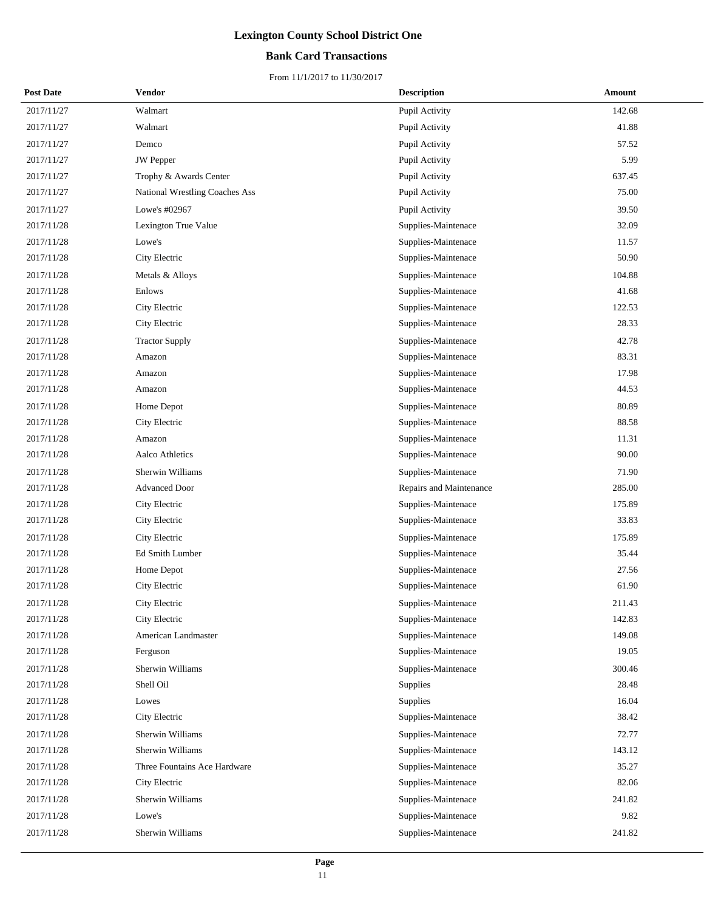### **Bank Card Transactions**

| <b>Post Date</b> | Vendor                         | <b>Description</b>      | Amount |
|------------------|--------------------------------|-------------------------|--------|
| 2017/11/27       | Walmart                        | Pupil Activity          | 142.68 |
| 2017/11/27       | Walmart                        | Pupil Activity          | 41.88  |
| 2017/11/27       | Demco                          | Pupil Activity          | 57.52  |
| 2017/11/27       | <b>JW</b> Pepper               | Pupil Activity          | 5.99   |
| 2017/11/27       | Trophy & Awards Center         | Pupil Activity          | 637.45 |
| 2017/11/27       | National Wrestling Coaches Ass | Pupil Activity          | 75.00  |
| 2017/11/27       | Lowe's #02967                  | Pupil Activity          | 39.50  |
| 2017/11/28       | Lexington True Value           | Supplies-Maintenace     | 32.09  |
| 2017/11/28       | Lowe's                         | Supplies-Maintenace     | 11.57  |
| 2017/11/28       | City Electric                  | Supplies-Maintenace     | 50.90  |
| 2017/11/28       | Metals & Alloys                | Supplies-Maintenace     | 104.88 |
| 2017/11/28       | Enlows                         | Supplies-Maintenace     | 41.68  |
| 2017/11/28       | City Electric                  | Supplies-Maintenace     | 122.53 |
| 2017/11/28       | City Electric                  | Supplies-Maintenace     | 28.33  |
| 2017/11/28       | <b>Tractor Supply</b>          | Supplies-Maintenace     | 42.78  |
| 2017/11/28       | Amazon                         | Supplies-Maintenace     | 83.31  |
| 2017/11/28       | Amazon                         | Supplies-Maintenace     | 17.98  |
| 2017/11/28       | Amazon                         | Supplies-Maintenace     | 44.53  |
| 2017/11/28       | Home Depot                     | Supplies-Maintenace     | 80.89  |
| 2017/11/28       | City Electric                  | Supplies-Maintenace     | 88.58  |
| 2017/11/28       | Amazon                         | Supplies-Maintenace     | 11.31  |
| 2017/11/28       | Aalco Athletics                | Supplies-Maintenace     | 90.00  |
| 2017/11/28       | Sherwin Williams               | Supplies-Maintenace     | 71.90  |
| 2017/11/28       | <b>Advanced Door</b>           | Repairs and Maintenance | 285.00 |
| 2017/11/28       | City Electric                  | Supplies-Maintenace     | 175.89 |
| 2017/11/28       | City Electric                  | Supplies-Maintenace     | 33.83  |
| 2017/11/28       | City Electric                  | Supplies-Maintenace     | 175.89 |
| 2017/11/28       | Ed Smith Lumber                | Supplies-Maintenace     | 35.44  |
| 2017/11/28       | Home Depot                     | Supplies-Maintenace     | 27.56  |
| 2017/11/28       | City Electric                  | Supplies-Maintenace     | 61.90  |
| 2017/11/28       | City Electric                  | Supplies-Maintenace     | 211.43 |
| 2017/11/28       | City Electric                  | Supplies-Maintenace     | 142.83 |
| 2017/11/28       | American Landmaster            | Supplies-Maintenace     | 149.08 |
| 2017/11/28       | Ferguson                       | Supplies-Maintenace     | 19.05  |
| 2017/11/28       | Sherwin Williams               | Supplies-Maintenace     | 300.46 |
| 2017/11/28       | Shell Oil                      | Supplies                | 28.48  |
| 2017/11/28       | Lowes                          | Supplies                | 16.04  |
| 2017/11/28       | City Electric                  | Supplies-Maintenace     | 38.42  |
| 2017/11/28       | Sherwin Williams               | Supplies-Maintenace     | 72.77  |
| 2017/11/28       | Sherwin Williams               | Supplies-Maintenace     | 143.12 |
| 2017/11/28       | Three Fountains Ace Hardware   | Supplies-Maintenace     | 35.27  |
| 2017/11/28       | City Electric                  | Supplies-Maintenace     | 82.06  |
| 2017/11/28       | Sherwin Williams               | Supplies-Maintenace     | 241.82 |
| 2017/11/28       | Lowe's                         | Supplies-Maintenace     | 9.82   |
| 2017/11/28       | Sherwin Williams               | Supplies-Maintenace     | 241.82 |
|                  |                                |                         |        |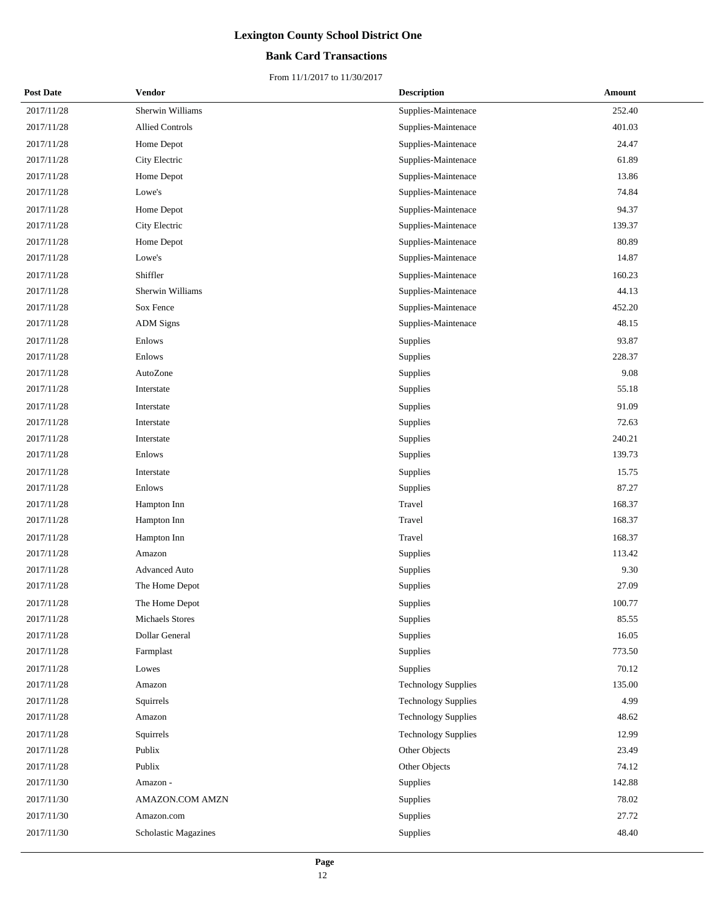### **Bank Card Transactions**

| <b>Post Date</b> | <b>Vendor</b>          | <b>Description</b>         | Amount |
|------------------|------------------------|----------------------------|--------|
| 2017/11/28       | Sherwin Williams       | Supplies-Maintenace        | 252.40 |
| 2017/11/28       | <b>Allied Controls</b> | Supplies-Maintenace        | 401.03 |
| 2017/11/28       | Home Depot             | Supplies-Maintenace        | 24.47  |
| 2017/11/28       | City Electric          | Supplies-Maintenace        | 61.89  |
| 2017/11/28       | Home Depot             | Supplies-Maintenace        | 13.86  |
| 2017/11/28       | Lowe's                 | Supplies-Maintenace        | 74.84  |
| 2017/11/28       | Home Depot             | Supplies-Maintenace        | 94.37  |
| 2017/11/28       | City Electric          | Supplies-Maintenace        | 139.37 |
| 2017/11/28       | Home Depot             | Supplies-Maintenace        | 80.89  |
| 2017/11/28       | Lowe's                 | Supplies-Maintenace        | 14.87  |
| 2017/11/28       | Shiffler               | Supplies-Maintenace        | 160.23 |
| 2017/11/28       | Sherwin Williams       | Supplies-Maintenace        | 44.13  |
| 2017/11/28       | Sox Fence              | Supplies-Maintenace        | 452.20 |
| 2017/11/28       | <b>ADM</b> Signs       | Supplies-Maintenace        | 48.15  |
| 2017/11/28       | Enlows                 | Supplies                   | 93.87  |
| 2017/11/28       | Enlows                 | Supplies                   | 228.37 |
| 2017/11/28       | AutoZone               | Supplies                   | 9.08   |
| 2017/11/28       | Interstate             | Supplies                   | 55.18  |
| 2017/11/28       | Interstate             | Supplies                   | 91.09  |
| 2017/11/28       | Interstate             | Supplies                   | 72.63  |
| 2017/11/28       | Interstate             | Supplies                   | 240.21 |
| 2017/11/28       | Enlows                 | Supplies                   | 139.73 |
| 2017/11/28       | Interstate             | Supplies                   | 15.75  |
| 2017/11/28       | Enlows                 | Supplies                   | 87.27  |
| 2017/11/28       | Hampton Inn            | Travel                     | 168.37 |
| 2017/11/28       | Hampton Inn            | Travel                     | 168.37 |
| 2017/11/28       | Hampton Inn            | Travel                     | 168.37 |
| 2017/11/28       | Amazon                 | Supplies                   | 113.42 |
| 2017/11/28       | <b>Advanced Auto</b>   | Supplies                   | 9.30   |
| 2017/11/28       | The Home Depot         | Supplies                   | 27.09  |
| 2017/11/28       | The Home Depot         | Supplies                   | 100.77 |
| 2017/11/28       | Michaels Stores        | Supplies                   | 85.55  |
| 2017/11/28       | Dollar General         | Supplies                   | 16.05  |
| 2017/11/28       | Farmplast              | Supplies                   | 773.50 |
| 2017/11/28       | Lowes                  | Supplies                   | 70.12  |
| 2017/11/28       | Amazon                 | <b>Technology Supplies</b> | 135.00 |
| 2017/11/28       | Squirrels              | <b>Technology Supplies</b> | 4.99   |
| 2017/11/28       | Amazon                 | <b>Technology Supplies</b> | 48.62  |
| 2017/11/28       | Squirrels              | <b>Technology Supplies</b> | 12.99  |
| 2017/11/28       | Publix                 | Other Objects              | 23.49  |
| 2017/11/28       | Publix                 | Other Objects              | 74.12  |
| 2017/11/30       | Amazon -               | Supplies                   | 142.88 |
| 2017/11/30       | <b>AMAZON.COM AMZN</b> | Supplies                   | 78.02  |
| 2017/11/30       | Amazon.com             | Supplies                   | 27.72  |
| 2017/11/30       | Scholastic Magazines   | Supplies                   | 48.40  |
|                  |                        |                            |        |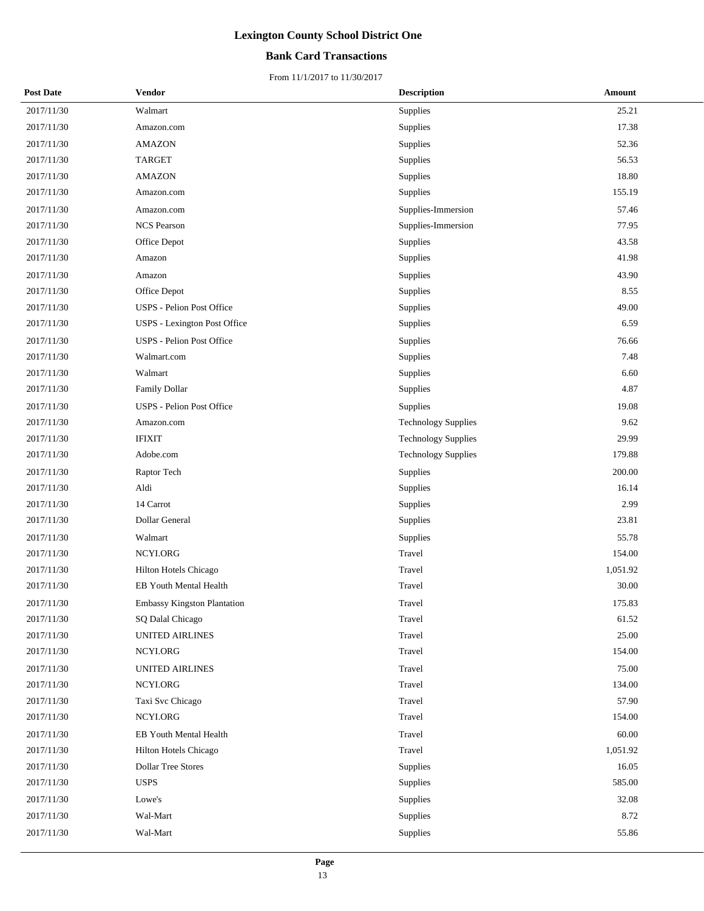### **Bank Card Transactions**

| <b>Post Date</b> | <b>Vendor</b>                      | <b>Description</b>         | Amount   |
|------------------|------------------------------------|----------------------------|----------|
| 2017/11/30       | Walmart                            | Supplies                   | 25.21    |
| 2017/11/30       | Amazon.com                         | Supplies                   | 17.38    |
| 2017/11/30       | <b>AMAZON</b>                      | Supplies                   | 52.36    |
| 2017/11/30       | <b>TARGET</b>                      | Supplies                   | 56.53    |
| 2017/11/30       | <b>AMAZON</b>                      | Supplies                   | 18.80    |
| 2017/11/30       | Amazon.com                         | Supplies                   | 155.19   |
| 2017/11/30       | Amazon.com                         | Supplies-Immersion         | 57.46    |
| 2017/11/30       | <b>NCS Pearson</b>                 | Supplies-Immersion         | 77.95    |
| 2017/11/30       | Office Depot                       | Supplies                   | 43.58    |
| 2017/11/30       | Amazon                             | Supplies                   | 41.98    |
| 2017/11/30       | Amazon                             | Supplies                   | 43.90    |
| 2017/11/30       | Office Depot                       | Supplies                   | 8.55     |
| 2017/11/30       | <b>USPS</b> - Pelion Post Office   | Supplies                   | 49.00    |
| 2017/11/30       | USPS - Lexington Post Office       | Supplies                   | 6.59     |
| 2017/11/30       | <b>USPS</b> - Pelion Post Office   | Supplies                   | 76.66    |
| 2017/11/30       | Walmart.com                        | Supplies                   | 7.48     |
| 2017/11/30       | Walmart                            | Supplies                   | 6.60     |
| 2017/11/30       | <b>Family Dollar</b>               | Supplies                   | 4.87     |
| 2017/11/30       | <b>USPS</b> - Pelion Post Office   | Supplies                   | 19.08    |
| 2017/11/30       | Amazon.com                         | <b>Technology Supplies</b> | 9.62     |
| 2017/11/30       | <b>IFIXIT</b>                      | <b>Technology Supplies</b> | 29.99    |
| 2017/11/30       | Adobe.com                          | <b>Technology Supplies</b> | 179.88   |
| 2017/11/30       | Raptor Tech                        | Supplies                   | 200.00   |
| 2017/11/30       | Aldi                               | Supplies                   | 16.14    |
| 2017/11/30       | 14 Carrot                          | Supplies                   | 2.99     |
| 2017/11/30       | Dollar General                     | Supplies                   | 23.81    |
| 2017/11/30       | Walmart                            | Supplies                   | 55.78    |
| 2017/11/30       | NCYLORG                            | Travel                     | 154.00   |
| 2017/11/30       | Hilton Hotels Chicago              | Travel                     | 1,051.92 |
| 2017/11/30       | EB Youth Mental Health             | Travel                     | 30.00    |
| 2017/11/30       | <b>Embassy Kingston Plantation</b> | Travel                     | 175.83   |
| 2017/11/30       | SQ Dalal Chicago                   | Travel                     | 61.52    |
| 2017/11/30       | UNITED AIRLINES                    | Travel                     | 25.00    |
| 2017/11/30       | NCYI.ORG                           | Travel                     | 154.00   |
| 2017/11/30       | UNITED AIRLINES                    | Travel                     | 75.00    |
| 2017/11/30       | NCYI.ORG                           | Travel                     | 134.00   |
| 2017/11/30       | Taxi Svc Chicago                   | Travel                     | 57.90    |
| 2017/11/30       | NCYI.ORG                           | Travel                     | 154.00   |
| 2017/11/30       | EB Youth Mental Health             | Travel                     | 60.00    |
| 2017/11/30       | Hilton Hotels Chicago              | Travel                     | 1,051.92 |
| 2017/11/30       | Dollar Tree Stores                 | Supplies                   | 16.05    |
| 2017/11/30       | <b>USPS</b>                        | Supplies                   | 585.00   |
| 2017/11/30       | Lowe's                             | Supplies                   | 32.08    |
| 2017/11/30       | Wal-Mart                           | Supplies                   | 8.72     |
| 2017/11/30       | Wal-Mart                           | Supplies                   | 55.86    |
|                  |                                    |                            |          |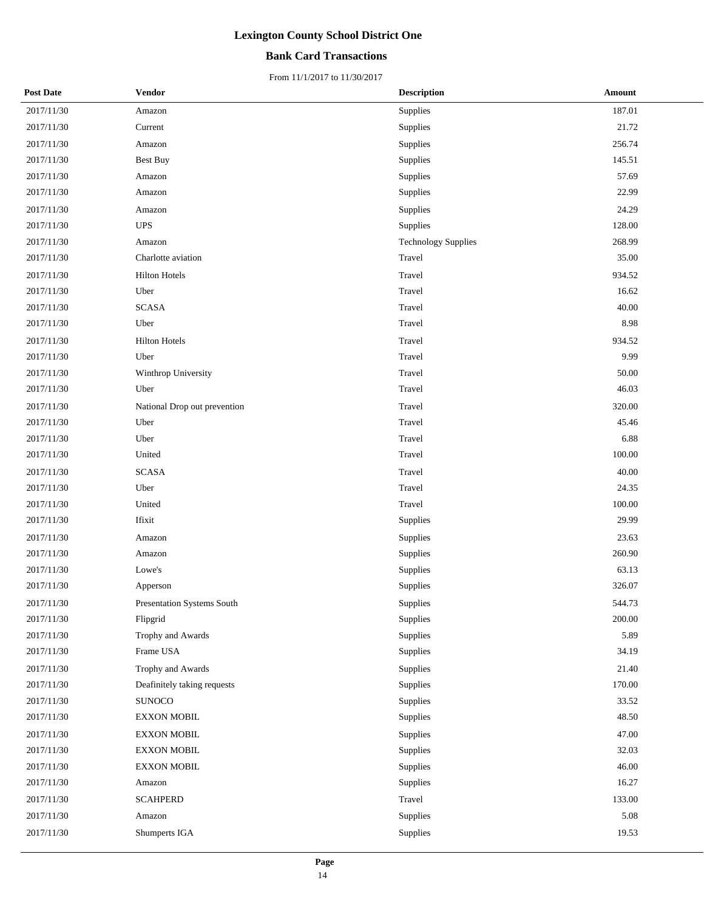### **Bank Card Transactions**

| <b>Post Date</b> | <b>Vendor</b>                | <b>Description</b>         | Amount |
|------------------|------------------------------|----------------------------|--------|
| 2017/11/30       | Amazon                       | Supplies                   | 187.01 |
| 2017/11/30       | Current                      | Supplies                   | 21.72  |
| 2017/11/30       | Amazon                       | Supplies                   | 256.74 |
| 2017/11/30       | <b>Best Buy</b>              | Supplies                   | 145.51 |
| 2017/11/30       | Amazon                       | Supplies                   | 57.69  |
| 2017/11/30       | Amazon                       | Supplies                   | 22.99  |
| 2017/11/30       | Amazon                       | Supplies                   | 24.29  |
| 2017/11/30       | $\ensuremath{\mathsf{UPS}}$  | Supplies                   | 128.00 |
| 2017/11/30       | Amazon                       | <b>Technology Supplies</b> | 268.99 |
| 2017/11/30       | Charlotte aviation           | Travel                     | 35.00  |
| 2017/11/30       | <b>Hilton Hotels</b>         | Travel                     | 934.52 |
| 2017/11/30       | Uber                         | Travel                     | 16.62  |
| 2017/11/30       | <b>SCASA</b>                 | Travel                     | 40.00  |
| 2017/11/30       | Uber                         | Travel                     | 8.98   |
| 2017/11/30       | <b>Hilton Hotels</b>         | Travel                     | 934.52 |
| 2017/11/30       | Uber                         | Travel                     | 9.99   |
| 2017/11/30       | Winthrop University          | Travel                     | 50.00  |
| 2017/11/30       | Uber                         | Travel                     | 46.03  |
| 2017/11/30       | National Drop out prevention | Travel                     | 320.00 |
| 2017/11/30       | Uber                         | Travel                     | 45.46  |
| 2017/11/30       | Uber                         | Travel                     | 6.88   |
| 2017/11/30       | United                       | Travel                     | 100.00 |
| 2017/11/30       | <b>SCASA</b>                 | Travel                     | 40.00  |
| 2017/11/30       | Uber                         | Travel                     | 24.35  |
| 2017/11/30       | United                       | Travel                     | 100.00 |
| 2017/11/30       | Ifixit                       | Supplies                   | 29.99  |
| 2017/11/30       | Amazon                       | Supplies                   | 23.63  |
| 2017/11/30       | Amazon                       | Supplies                   | 260.90 |
| 2017/11/30       | Lowe's                       | Supplies                   | 63.13  |
| 2017/11/30       | Apperson                     | Supplies                   | 326.07 |
| 2017/11/30       | Presentation Systems South   | Supplies                   | 544.73 |
| 2017/11/30       | Flipgrid                     | Supplies                   | 200.00 |
| 2017/11/30       | Trophy and Awards            | Supplies                   | 5.89   |
| 2017/11/30       | Frame USA                    | Supplies                   | 34.19  |
| 2017/11/30       | Trophy and Awards            | Supplies                   | 21.40  |
| 2017/11/30       | Deafinitely taking requests  | Supplies                   | 170.00 |
| 2017/11/30       | SUNOCO                       | Supplies                   | 33.52  |
| 2017/11/30       | <b>EXXON MOBIL</b>           | Supplies                   | 48.50  |
| 2017/11/30       | <b>EXXON MOBIL</b>           | Supplies                   | 47.00  |
| 2017/11/30       | <b>EXXON MOBIL</b>           | Supplies                   | 32.03  |
| 2017/11/30       | <b>EXXON MOBIL</b>           | Supplies                   | 46.00  |
| 2017/11/30       | Amazon                       | Supplies                   | 16.27  |
| 2017/11/30       | <b>SCAHPERD</b>              | Travel                     | 133.00 |
| 2017/11/30       | Amazon                       | Supplies                   | 5.08   |
| 2017/11/30       | Shumperts IGA                | Supplies                   | 19.53  |
|                  |                              |                            |        |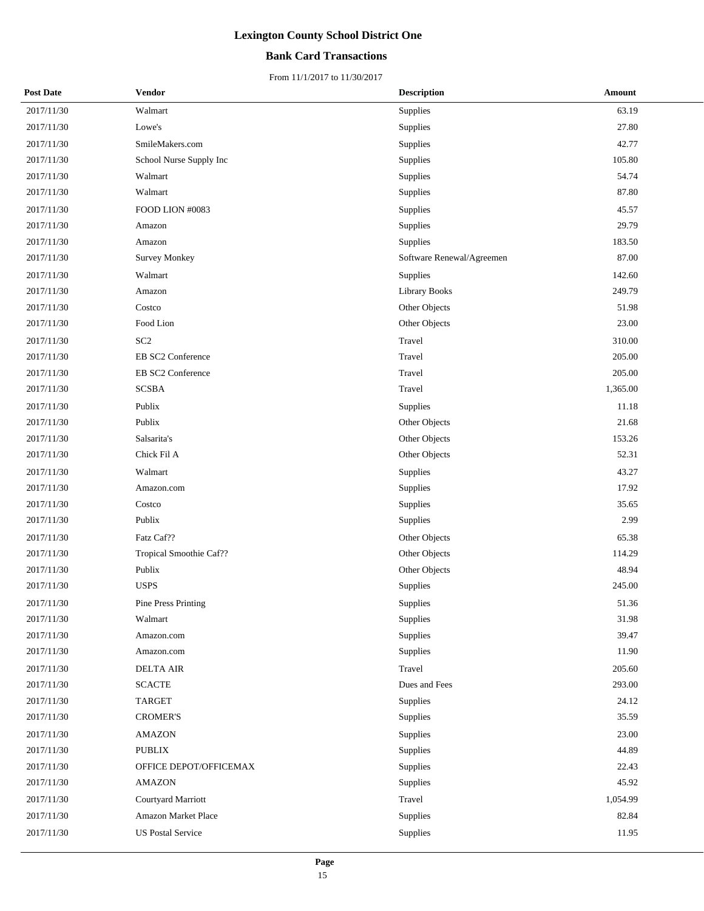### **Bank Card Transactions**

| <b>Post Date</b> | <b>Vendor</b>            | <b>Description</b>        | Amount   |
|------------------|--------------------------|---------------------------|----------|
| 2017/11/30       | Walmart                  | Supplies                  | 63.19    |
| 2017/11/30       | Lowe's                   | Supplies                  | 27.80    |
| 2017/11/30       | SmileMakers.com          | Supplies                  | 42.77    |
| 2017/11/30       | School Nurse Supply Inc  | Supplies                  | 105.80   |
| 2017/11/30       | Walmart                  | Supplies                  | 54.74    |
| 2017/11/30       | Walmart                  | Supplies                  | 87.80    |
| 2017/11/30       | FOOD LION #0083          | Supplies                  | 45.57    |
| 2017/11/30       | Amazon                   | Supplies                  | 29.79    |
| 2017/11/30       | Amazon                   | Supplies                  | 183.50   |
| 2017/11/30       | <b>Survey Monkey</b>     | Software Renewal/Agreemen | 87.00    |
| 2017/11/30       | Walmart                  | Supplies                  | 142.60   |
| 2017/11/30       | Amazon                   | <b>Library Books</b>      | 249.79   |
| 2017/11/30       | Costco                   | Other Objects             | 51.98    |
| 2017/11/30       | Food Lion                | Other Objects             | 23.00    |
| 2017/11/30       | SC <sub>2</sub>          | Travel                    | 310.00   |
| 2017/11/30       | EB SC2 Conference        | Travel                    | 205.00   |
| 2017/11/30       | EB SC2 Conference        | Travel                    | 205.00   |
| 2017/11/30       | <b>SCSBA</b>             | Travel                    | 1,365.00 |
| 2017/11/30       | Publix                   | Supplies                  | 11.18    |
| 2017/11/30       | Publix                   | Other Objects             | 21.68    |
| 2017/11/30       | Salsarita's              | Other Objects             | 153.26   |
| 2017/11/30       | Chick Fil A              | Other Objects             | 52.31    |
| 2017/11/30       | Walmart                  | Supplies                  | 43.27    |
| 2017/11/30       | Amazon.com               | Supplies                  | 17.92    |
| 2017/11/30       | Costco                   | Supplies                  | 35.65    |
| 2017/11/30       | Publix                   | Supplies                  | 2.99     |
| 2017/11/30       | Fatz Caf??               | Other Objects             | 65.38    |
| 2017/11/30       | Tropical Smoothie Caf??  | Other Objects             | 114.29   |
| 2017/11/30       | Publix                   | Other Objects             | 48.94    |
| 2017/11/30       | <b>USPS</b>              | Supplies                  | 245.00   |
| 2017/11/30       | Pine Press Printing      | Supplies                  | 51.36    |
| 2017/11/30       | Walmart                  | Supplies                  | 31.98    |
| 2017/11/30       | Amazon.com               | Supplies                  | 39.47    |
| 2017/11/30       | Amazon.com               | Supplies                  | 11.90    |
| 2017/11/30       | <b>DELTA AIR</b>         | Travel                    | 205.60   |
| 2017/11/30       | <b>SCACTE</b>            | Dues and Fees             | 293.00   |
| 2017/11/30       | <b>TARGET</b>            | Supplies                  | 24.12    |
| 2017/11/30       | <b>CROMER'S</b>          | Supplies                  | 35.59    |
| 2017/11/30       | <b>AMAZON</b>            | Supplies                  | 23.00    |
| 2017/11/30       | <b>PUBLIX</b>            | Supplies                  | 44.89    |
| 2017/11/30       | OFFICE DEPOT/OFFICEMAX   | Supplies                  | 22.43    |
| 2017/11/30       | AMAZON                   | Supplies                  | 45.92    |
| 2017/11/30       | Courtyard Marriott       | Travel                    | 1,054.99 |
| 2017/11/30       | Amazon Market Place      | Supplies                  | 82.84    |
| 2017/11/30       | <b>US Postal Service</b> | Supplies                  | 11.95    |
|                  |                          |                           |          |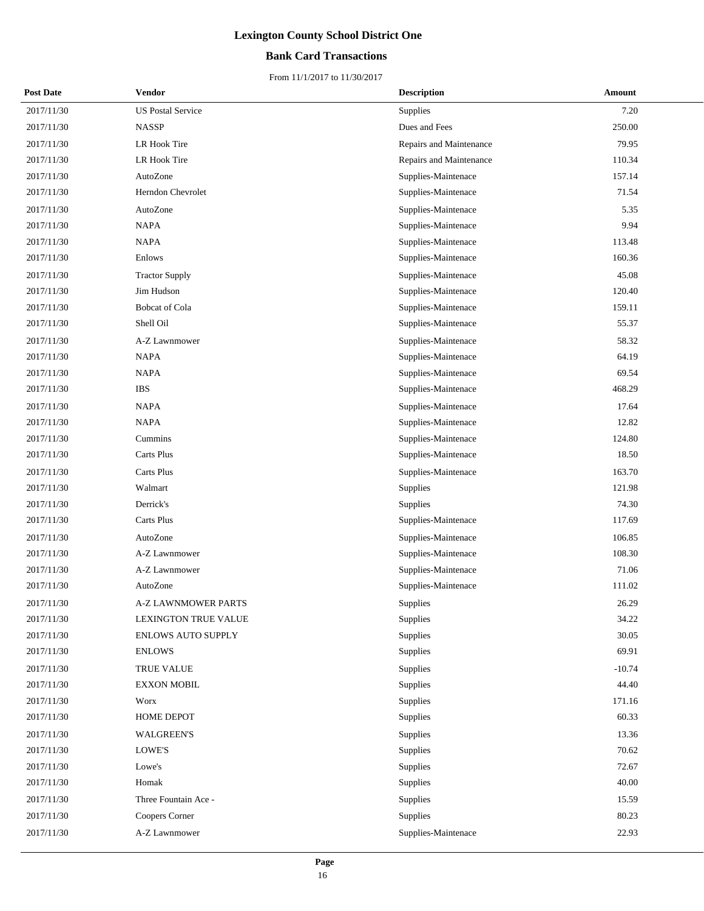### **Bank Card Transactions**

| <b>Post Date</b> | Vendor                    | <b>Description</b>      | Amount   |
|------------------|---------------------------|-------------------------|----------|
| 2017/11/30       | <b>US Postal Service</b>  | Supplies                | 7.20     |
| 2017/11/30       | <b>NASSP</b>              | Dues and Fees           | 250.00   |
| 2017/11/30       | LR Hook Tire              | Repairs and Maintenance | 79.95    |
| 2017/11/30       | LR Hook Tire              | Repairs and Maintenance | 110.34   |
| 2017/11/30       | AutoZone                  | Supplies-Maintenace     | 157.14   |
| 2017/11/30       | Herndon Chevrolet         | Supplies-Maintenace     | 71.54    |
| 2017/11/30       | AutoZone                  | Supplies-Maintenace     | 5.35     |
| 2017/11/30       | <b>NAPA</b>               | Supplies-Maintenace     | 9.94     |
| 2017/11/30       | <b>NAPA</b>               | Supplies-Maintenace     | 113.48   |
| 2017/11/30       | Enlows                    | Supplies-Maintenace     | 160.36   |
| 2017/11/30       | <b>Tractor Supply</b>     | Supplies-Maintenace     | 45.08    |
| 2017/11/30       | Jim Hudson                | Supplies-Maintenace     | 120.40   |
| 2017/11/30       | <b>Bobcat</b> of Cola     | Supplies-Maintenace     | 159.11   |
| 2017/11/30       | Shell Oil                 | Supplies-Maintenace     | 55.37    |
| 2017/11/30       | A-Z Lawnmower             | Supplies-Maintenace     | 58.32    |
| 2017/11/30       | <b>NAPA</b>               | Supplies-Maintenace     | 64.19    |
| 2017/11/30       | <b>NAPA</b>               | Supplies-Maintenace     | 69.54    |
| 2017/11/30       | <b>IBS</b>                | Supplies-Maintenace     | 468.29   |
| 2017/11/30       | <b>NAPA</b>               | Supplies-Maintenace     | 17.64    |
| 2017/11/30       | <b>NAPA</b>               | Supplies-Maintenace     | 12.82    |
| 2017/11/30       | Cummins                   | Supplies-Maintenace     | 124.80   |
| 2017/11/30       | Carts Plus                | Supplies-Maintenace     | 18.50    |
| 2017/11/30       | Carts Plus                | Supplies-Maintenace     | 163.70   |
| 2017/11/30       | Walmart                   | Supplies                | 121.98   |
| 2017/11/30       | Derrick's                 | Supplies                | 74.30    |
| 2017/11/30       | Carts Plus                | Supplies-Maintenace     | 117.69   |
| 2017/11/30       | AutoZone                  | Supplies-Maintenace     | 106.85   |
| 2017/11/30       | A-Z Lawnmower             | Supplies-Maintenace     | 108.30   |
| 2017/11/30       | A-Z Lawnmower             | Supplies-Maintenace     | 71.06    |
| 2017/11/30       | AutoZone                  | Supplies-Maintenace     | 111.02   |
| 2017/11/30       | A-Z LAWNMOWER PARTS       | Supplies                | 26.29    |
| 2017/11/30       | LEXINGTON TRUE VALUE      | Supplies                | 34.22    |
| 2017/11/30       | <b>ENLOWS AUTO SUPPLY</b> | Supplies                | 30.05    |
| 2017/11/30       | <b>ENLOWS</b>             | Supplies                | 69.91    |
| 2017/11/30       | TRUE VALUE                | Supplies                | $-10.74$ |
| 2017/11/30       | <b>EXXON MOBIL</b>        | Supplies                | 44.40    |
| 2017/11/30       | <b>Worx</b>               | Supplies                | 171.16   |
| 2017/11/30       | HOME DEPOT                | Supplies                | 60.33    |
| 2017/11/30       | <b>WALGREEN'S</b>         | Supplies                | 13.36    |
| 2017/11/30       | LOWE'S                    | Supplies                | 70.62    |
| 2017/11/30       | Lowe's                    | Supplies                | 72.67    |
| 2017/11/30       | Homak                     | Supplies                | 40.00    |
| 2017/11/30       | Three Fountain Ace -      | Supplies                | 15.59    |
| 2017/11/30       | Coopers Corner            | Supplies                | 80.23    |
| 2017/11/30       | A-Z Lawnmower             | Supplies-Maintenace     | 22.93    |
|                  |                           |                         |          |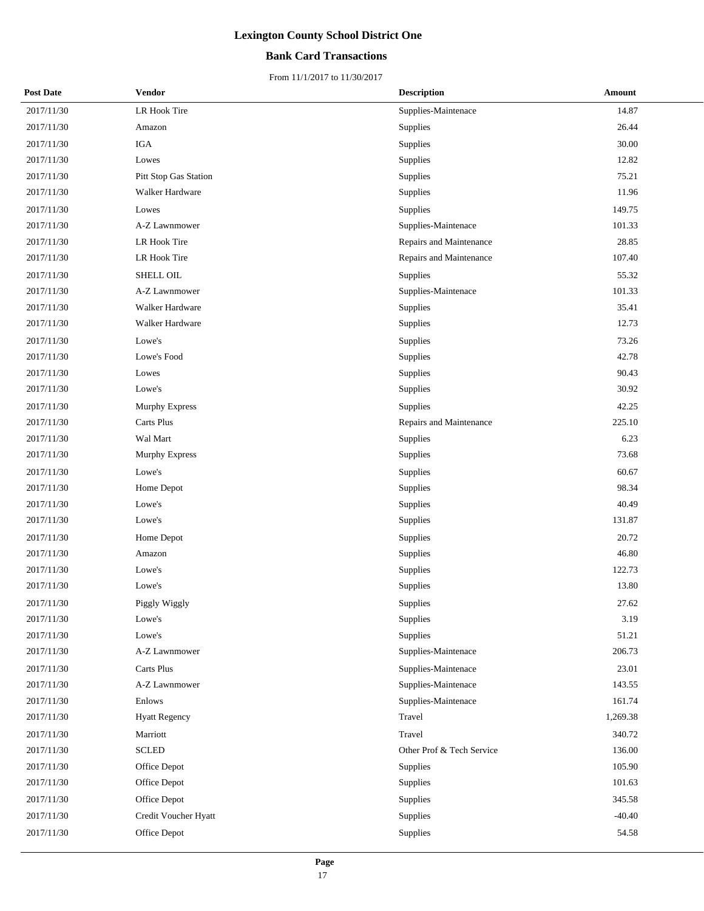### **Bank Card Transactions**

| <b>Post Date</b> | <b>Vendor</b>         | <b>Description</b>        | Amount   |  |
|------------------|-----------------------|---------------------------|----------|--|
| 2017/11/30       | LR Hook Tire          | Supplies-Maintenace       | 14.87    |  |
| 2017/11/30       | Amazon                | Supplies                  | 26.44    |  |
| 2017/11/30       | <b>IGA</b>            | Supplies                  | 30.00    |  |
| 2017/11/30       | Lowes                 | Supplies                  | 12.82    |  |
| 2017/11/30       | Pitt Stop Gas Station | Supplies                  | 75.21    |  |
| 2017/11/30       | Walker Hardware       | Supplies                  | 11.96    |  |
| 2017/11/30       | Lowes                 | Supplies                  | 149.75   |  |
| 2017/11/30       | A-Z Lawnmower         | Supplies-Maintenace       | 101.33   |  |
| 2017/11/30       | LR Hook Tire          | Repairs and Maintenance   | 28.85    |  |
| 2017/11/30       | LR Hook Tire          | Repairs and Maintenance   | 107.40   |  |
| 2017/11/30       | SHELL OIL             | Supplies                  | 55.32    |  |
| 2017/11/30       | A-Z Lawnmower         | Supplies-Maintenace       | 101.33   |  |
| 2017/11/30       | Walker Hardware       | Supplies                  | 35.41    |  |
| 2017/11/30       | Walker Hardware       | Supplies                  | 12.73    |  |
| 2017/11/30       | Lowe's                | Supplies                  | 73.26    |  |
| 2017/11/30       | Lowe's Food           | Supplies                  | 42.78    |  |
| 2017/11/30       | Lowes                 | Supplies                  | 90.43    |  |
| 2017/11/30       | Lowe's                | Supplies                  | 30.92    |  |
| 2017/11/30       | Murphy Express        | Supplies                  | 42.25    |  |
| 2017/11/30       | Carts Plus            | Repairs and Maintenance   | 225.10   |  |
| 2017/11/30       | Wal Mart              | Supplies                  | 6.23     |  |
| 2017/11/30       | <b>Murphy Express</b> | Supplies                  | 73.68    |  |
| 2017/11/30       | Lowe's                | Supplies                  | 60.67    |  |
| 2017/11/30       | Home Depot            | Supplies                  | 98.34    |  |
| 2017/11/30       | Lowe's                | Supplies                  | 40.49    |  |
| 2017/11/30       | Lowe's                | Supplies                  | 131.87   |  |
| 2017/11/30       | Home Depot            | Supplies                  | 20.72    |  |
| 2017/11/30       | Amazon                | Supplies                  | 46.80    |  |
| 2017/11/30       | Lowe's                | Supplies                  | 122.73   |  |
| 2017/11/30       | Lowe's                | Supplies                  | 13.80    |  |
| 2017/11/30       | Piggly Wiggly         | Supplies                  | 27.62    |  |
| 2017/11/30       | Lowe's                | Supplies                  | 3.19     |  |
| 2017/11/30       | Lowe's                | Supplies                  | 51.21    |  |
| 2017/11/30       | A-Z Lawnmower         | Supplies-Maintenace       | 206.73   |  |
| 2017/11/30       | Carts Plus            | Supplies-Maintenace       | 23.01    |  |
| 2017/11/30       | A-Z Lawnmower         | Supplies-Maintenace       | 143.55   |  |
| 2017/11/30       | Enlows                | Supplies-Maintenace       | 161.74   |  |
| 2017/11/30       | <b>Hyatt Regency</b>  | Travel                    | 1,269.38 |  |
| 2017/11/30       | Marriott              | Travel                    | 340.72   |  |
| 2017/11/30       | <b>SCLED</b>          | Other Prof & Tech Service | 136.00   |  |
| 2017/11/30       | Office Depot          | Supplies                  | 105.90   |  |
| 2017/11/30       | Office Depot          | Supplies                  | 101.63   |  |
| 2017/11/30       | Office Depot          | Supplies                  | 345.58   |  |
| 2017/11/30       | Credit Voucher Hyatt  | Supplies                  | $-40.40$ |  |
| 2017/11/30       | Office Depot          | Supplies                  | 54.58    |  |
|                  |                       |                           |          |  |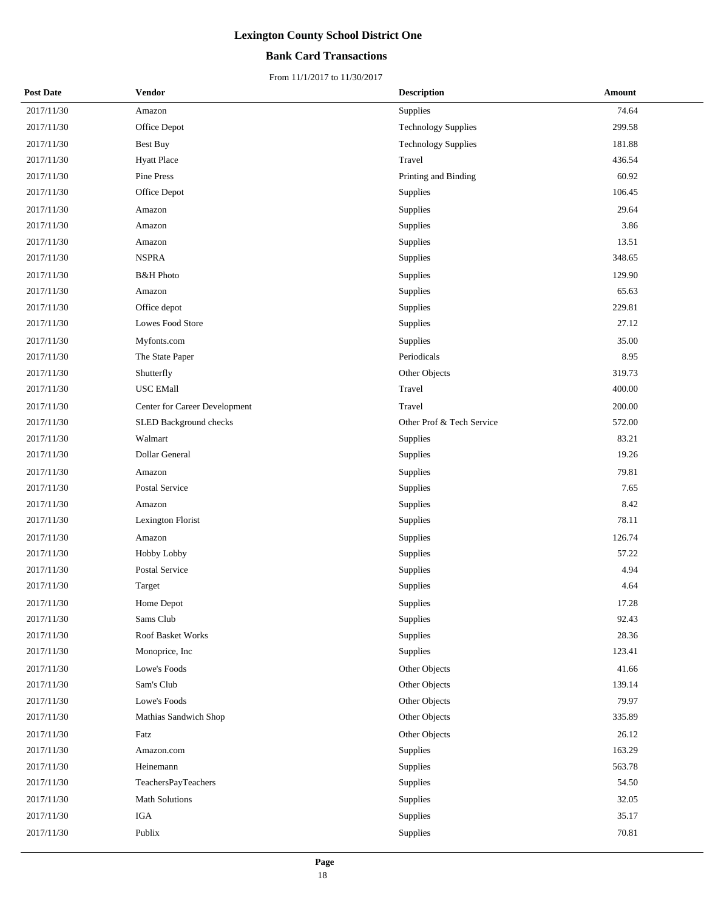### **Bank Card Transactions**

| <b>Post Date</b> | <b>Vendor</b>                 | <b>Description</b>         | Amount |
|------------------|-------------------------------|----------------------------|--------|
| 2017/11/30       | Amazon                        | Supplies                   | 74.64  |
| 2017/11/30       | Office Depot                  | <b>Technology Supplies</b> | 299.58 |
| 2017/11/30       | Best Buy                      | <b>Technology Supplies</b> | 181.88 |
| 2017/11/30       | <b>Hyatt Place</b>            | Travel                     | 436.54 |
| 2017/11/30       | Pine Press                    | Printing and Binding       | 60.92  |
| 2017/11/30       | Office Depot                  | Supplies                   | 106.45 |
| 2017/11/30       | Amazon                        | Supplies                   | 29.64  |
| 2017/11/30       | Amazon                        | Supplies                   | 3.86   |
| 2017/11/30       | Amazon                        | Supplies                   | 13.51  |
| 2017/11/30       | <b>NSPRA</b>                  | Supplies                   | 348.65 |
| 2017/11/30       | <b>B&amp;H</b> Photo          | Supplies                   | 129.90 |
| 2017/11/30       | Amazon                        | Supplies                   | 65.63  |
| 2017/11/30       | Office depot                  | Supplies                   | 229.81 |
| 2017/11/30       | Lowes Food Store              | Supplies                   | 27.12  |
| 2017/11/30       | Myfonts.com                   | Supplies                   | 35.00  |
| 2017/11/30       | The State Paper               | Periodicals                | 8.95   |
| 2017/11/30       | Shutterfly                    | Other Objects              | 319.73 |
| 2017/11/30       | <b>USC EMall</b>              | Travel                     | 400.00 |
| 2017/11/30       | Center for Career Development | Travel                     | 200.00 |
| 2017/11/30       | SLED Background checks        | Other Prof & Tech Service  | 572.00 |
| 2017/11/30       | Walmart                       | Supplies                   | 83.21  |
| 2017/11/30       | Dollar General                | Supplies                   | 19.26  |
| 2017/11/30       | Amazon                        | Supplies                   | 79.81  |
| 2017/11/30       | Postal Service                | Supplies                   | 7.65   |
| 2017/11/30       | Amazon                        | Supplies                   | 8.42   |
| 2017/11/30       | Lexington Florist             | Supplies                   | 78.11  |
| 2017/11/30       | Amazon                        | Supplies                   | 126.74 |
| 2017/11/30       | Hobby Lobby                   | Supplies                   | 57.22  |
| 2017/11/30       | Postal Service                | Supplies                   | 4.94   |
| 2017/11/30       | Target                        | Supplies                   | 4.64   |
| 2017/11/30       | Home Depot                    | Supplies                   | 17.28  |
| 2017/11/30       | Sams Club                     | Supplies                   | 92.43  |
| 2017/11/30       | Roof Basket Works             | Supplies                   | 28.36  |
| 2017/11/30       | Monoprice, Inc                | Supplies                   | 123.41 |
| 2017/11/30       | Lowe's Foods                  | Other Objects              | 41.66  |
| 2017/11/30       | Sam's Club                    | Other Objects              | 139.14 |
| 2017/11/30       | Lowe's Foods                  | Other Objects              | 79.97  |
| 2017/11/30       | Mathias Sandwich Shop         | Other Objects              | 335.89 |
| 2017/11/30       | Fatz                          | Other Objects              | 26.12  |
| 2017/11/30       | Amazon.com                    | Supplies                   | 163.29 |
| 2017/11/30       | Heinemann                     | Supplies                   | 563.78 |
| 2017/11/30       | TeachersPayTeachers           | Supplies                   | 54.50  |
| 2017/11/30       | <b>Math Solutions</b>         | Supplies                   | 32.05  |
| 2017/11/30       | IGA                           | Supplies                   | 35.17  |
| 2017/11/30       | Publix                        | Supplies                   | 70.81  |
|                  |                               |                            |        |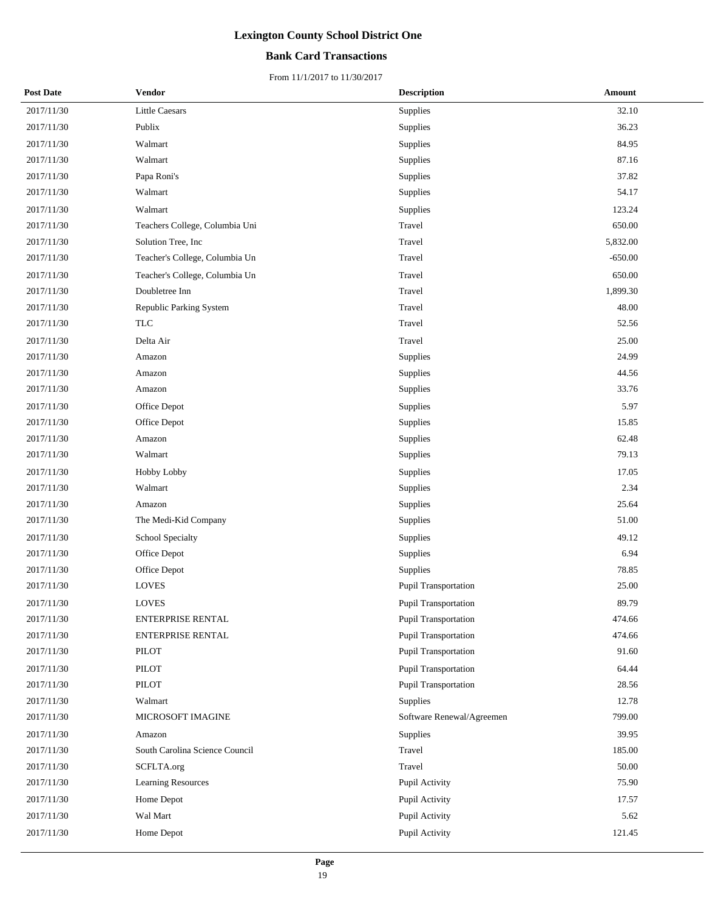### **Bank Card Transactions**

| <b>Post Date</b> | <b>Vendor</b>                  | <b>Description</b>          | Amount    |
|------------------|--------------------------------|-----------------------------|-----------|
| 2017/11/30       | <b>Little Caesars</b>          | Supplies                    | 32.10     |
| 2017/11/30       | Publix                         | Supplies                    | 36.23     |
| 2017/11/30       | Walmart                        | Supplies                    | 84.95     |
| 2017/11/30       | Walmart                        | Supplies                    | 87.16     |
| 2017/11/30       | Papa Roni's                    | Supplies                    | 37.82     |
| 2017/11/30       | Walmart                        | Supplies                    | 54.17     |
| 2017/11/30       | Walmart                        | Supplies                    | 123.24    |
| 2017/11/30       | Teachers College, Columbia Uni | Travel                      | 650.00    |
| 2017/11/30       | Solution Tree, Inc.            | Travel                      | 5,832.00  |
| 2017/11/30       | Teacher's College, Columbia Un | Travel                      | $-650.00$ |
| 2017/11/30       | Teacher's College, Columbia Un | Travel                      | 650.00    |
| 2017/11/30       | Doubletree Inn                 | Travel                      | 1,899.30  |
| 2017/11/30       | Republic Parking System        | Travel                      | 48.00     |
| 2017/11/30       | <b>TLC</b>                     | Travel                      | 52.56     |
| 2017/11/30       | Delta Air                      | Travel                      | 25.00     |
| 2017/11/30       | Amazon                         | Supplies                    | 24.99     |
| 2017/11/30       | Amazon                         | Supplies                    | 44.56     |
| 2017/11/30       | Amazon                         | Supplies                    | 33.76     |
| 2017/11/30       | Office Depot                   | Supplies                    | 5.97      |
| 2017/11/30       | Office Depot                   | Supplies                    | 15.85     |
| 2017/11/30       | Amazon                         | Supplies                    | 62.48     |
| 2017/11/30       | Walmart                        | Supplies                    | 79.13     |
| 2017/11/30       | Hobby Lobby                    | Supplies                    | 17.05     |
| 2017/11/30       | Walmart                        | Supplies                    | 2.34      |
| 2017/11/30       | Amazon                         | Supplies                    | 25.64     |
| 2017/11/30       | The Medi-Kid Company           | Supplies                    | 51.00     |
| 2017/11/30       | School Specialty               | Supplies                    | 49.12     |
| 2017/11/30       | Office Depot                   | Supplies                    | 6.94      |
| 2017/11/30       | Office Depot                   | Supplies                    | 78.85     |
| 2017/11/30       | <b>LOVES</b>                   | <b>Pupil Transportation</b> | 25.00     |
| 2017/11/30       | <b>LOVES</b>                   | Pupil Transportation        | 89.79     |
| 2017/11/30       | ENTERPRISE RENTAL              | Pupil Transportation        | 474.66    |
| 2017/11/30       | ENTERPRISE RENTAL              | Pupil Transportation        | 474.66    |
| 2017/11/30       | PILOT                          | Pupil Transportation        | 91.60     |
| 2017/11/30       | PILOT                          | Pupil Transportation        | 64.44     |
| 2017/11/30       | <b>PILOT</b>                   | Pupil Transportation        | 28.56     |
| 2017/11/30       | Walmart                        | Supplies                    | 12.78     |
| 2017/11/30       | MICROSOFT IMAGINE              | Software Renewal/Agreemen   | 799.00    |
| 2017/11/30       | Amazon                         | Supplies                    | 39.95     |
| 2017/11/30       | South Carolina Science Council | Travel                      | 185.00    |
| 2017/11/30       | SCFLTA.org                     | Travel                      | 50.00     |
| 2017/11/30       | Learning Resources             | Pupil Activity              | 75.90     |
| 2017/11/30       | Home Depot                     | Pupil Activity              | 17.57     |
| 2017/11/30       | Wal Mart                       | Pupil Activity              | 5.62      |
| 2017/11/30       | Home Depot                     | Pupil Activity              | 121.45    |
|                  |                                |                             |           |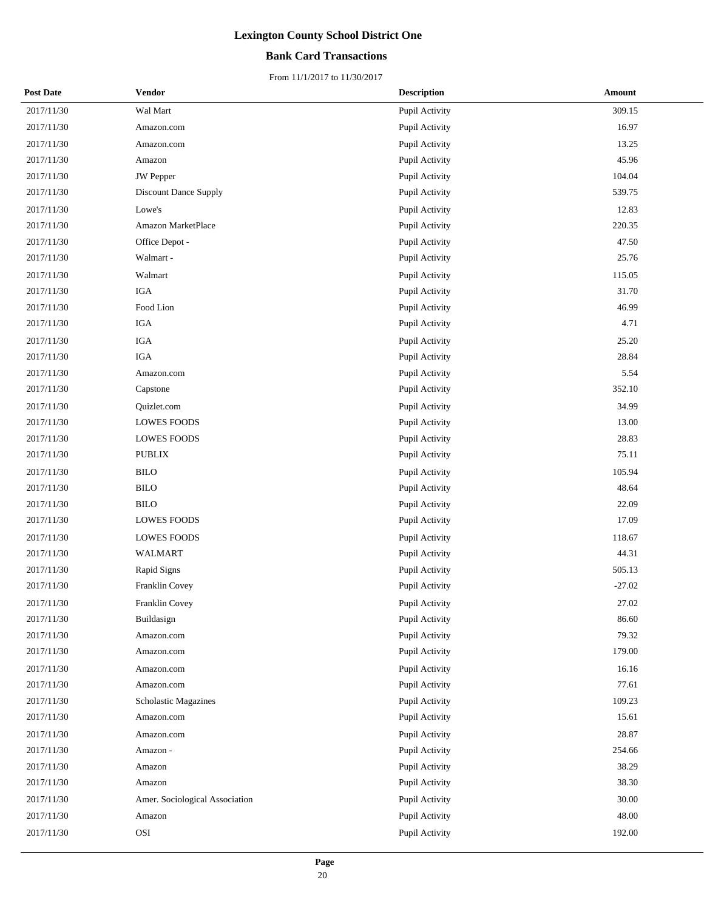### **Bank Card Transactions**

| <b>Post Date</b> | <b>Vendor</b>                  | <b>Description</b> | Amount   |
|------------------|--------------------------------|--------------------|----------|
| 2017/11/30       | Wal Mart                       | Pupil Activity     | 309.15   |
| 2017/11/30       | Amazon.com                     | Pupil Activity     | 16.97    |
| 2017/11/30       | Amazon.com                     | Pupil Activity     | 13.25    |
| 2017/11/30       | Amazon                         | Pupil Activity     | 45.96    |
| 2017/11/30       | <b>JW</b> Pepper               | Pupil Activity     | 104.04   |
| 2017/11/30       | Discount Dance Supply          | Pupil Activity     | 539.75   |
| 2017/11/30       | Lowe's                         | Pupil Activity     | 12.83    |
| 2017/11/30       | Amazon MarketPlace             | Pupil Activity     | 220.35   |
| 2017/11/30       | Office Depot -                 | Pupil Activity     | 47.50    |
| 2017/11/30       | Walmart -                      | Pupil Activity     | 25.76    |
| 2017/11/30       | Walmart                        | Pupil Activity     | 115.05   |
| 2017/11/30       | $_{\rm IGA}$                   | Pupil Activity     | 31.70    |
| 2017/11/30       | Food Lion                      | Pupil Activity     | 46.99    |
| 2017/11/30       | IGA                            | Pupil Activity     | 4.71     |
| 2017/11/30       | IGA                            | Pupil Activity     | 25.20    |
| 2017/11/30       | <b>IGA</b>                     | Pupil Activity     | 28.84    |
| 2017/11/30       | Amazon.com                     | Pupil Activity     | 5.54     |
| 2017/11/30       | Capstone                       | Pupil Activity     | 352.10   |
| 2017/11/30       | Quizlet.com                    | Pupil Activity     | 34.99    |
| 2017/11/30       | <b>LOWES FOODS</b>             | Pupil Activity     | 13.00    |
| 2017/11/30       | <b>LOWES FOODS</b>             | Pupil Activity     | 28.83    |
| 2017/11/30       | <b>PUBLIX</b>                  | Pupil Activity     | 75.11    |
| 2017/11/30       | <b>BILO</b>                    | Pupil Activity     | 105.94   |
| 2017/11/30       | <b>BILO</b>                    | Pupil Activity     | 48.64    |
| 2017/11/30       | <b>BILO</b>                    | Pupil Activity     | 22.09    |
| 2017/11/30       | <b>LOWES FOODS</b>             | Pupil Activity     | 17.09    |
| 2017/11/30       | <b>LOWES FOODS</b>             | Pupil Activity     | 118.67   |
| 2017/11/30       | <b>WALMART</b>                 | Pupil Activity     | 44.31    |
| 2017/11/30       | Rapid Signs                    | Pupil Activity     | 505.13   |
| 2017/11/30       | Franklin Covey                 | Pupil Activity     | $-27.02$ |
| 2017/11/30       | Franklin Covey                 | Pupil Activity     | 27.02    |
| 2017/11/30       | Buildasign                     | Pupil Activity     | 86.60    |
| 2017/11/30       | Amazon.com                     | Pupil Activity     | 79.32    |
| 2017/11/30       | Amazon.com                     | Pupil Activity     | 179.00   |
| 2017/11/30       | Amazon.com                     | Pupil Activity     | 16.16    |
| 2017/11/30       | Amazon.com                     | Pupil Activity     | 77.61    |
| 2017/11/30       | <b>Scholastic Magazines</b>    | Pupil Activity     | 109.23   |
| 2017/11/30       | Amazon.com                     | Pupil Activity     | 15.61    |
| 2017/11/30       | Amazon.com                     | Pupil Activity     | 28.87    |
| 2017/11/30       | Amazon -                       | Pupil Activity     | 254.66   |
| 2017/11/30       | Amazon                         | Pupil Activity     | 38.29    |
| 2017/11/30       | Amazon                         | Pupil Activity     | 38.30    |
| 2017/11/30       | Amer. Sociological Association | Pupil Activity     | 30.00    |
| 2017/11/30       | Amazon                         | Pupil Activity     | 48.00    |
| 2017/11/30       | OSI                            | Pupil Activity     | 192.00   |
|                  |                                |                    |          |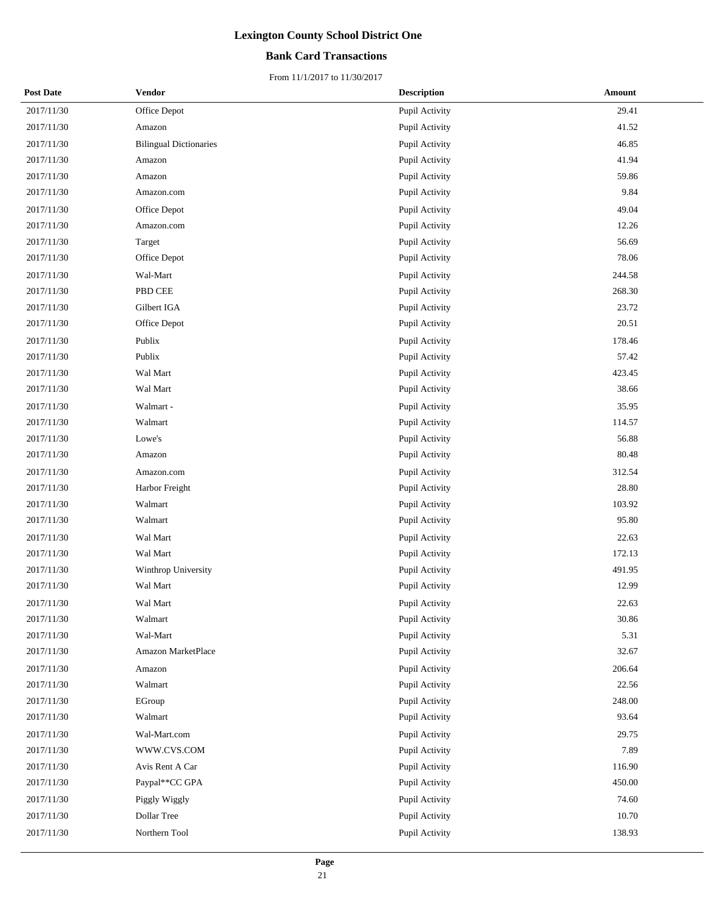### **Bank Card Transactions**

| <b>Post Date</b> | <b>Vendor</b>                 | <b>Description</b> | Amount |
|------------------|-------------------------------|--------------------|--------|
| 2017/11/30       | Office Depot                  | Pupil Activity     | 29.41  |
| 2017/11/30       | Amazon                        | Pupil Activity     | 41.52  |
| 2017/11/30       | <b>Bilingual Dictionaries</b> | Pupil Activity     | 46.85  |
| 2017/11/30       | Amazon                        | Pupil Activity     | 41.94  |
| 2017/11/30       | Amazon                        | Pupil Activity     | 59.86  |
| 2017/11/30       | Amazon.com                    | Pupil Activity     | 9.84   |
| 2017/11/30       | Office Depot                  | Pupil Activity     | 49.04  |
| 2017/11/30       | Amazon.com                    | Pupil Activity     | 12.26  |
| 2017/11/30       | Target                        | Pupil Activity     | 56.69  |
| 2017/11/30       | Office Depot                  | Pupil Activity     | 78.06  |
| 2017/11/30       | Wal-Mart                      | Pupil Activity     | 244.58 |
| 2017/11/30       | PBD CEE                       | Pupil Activity     | 268.30 |
| 2017/11/30       | Gilbert IGA                   | Pupil Activity     | 23.72  |
| 2017/11/30       | Office Depot                  | Pupil Activity     | 20.51  |
| 2017/11/30       | Publix                        | Pupil Activity     | 178.46 |
| 2017/11/30       | Publix                        | Pupil Activity     | 57.42  |
| 2017/11/30       | Wal Mart                      | Pupil Activity     | 423.45 |
| 2017/11/30       | Wal Mart                      | Pupil Activity     | 38.66  |
| 2017/11/30       | Walmart -                     | Pupil Activity     | 35.95  |
| 2017/11/30       | Walmart                       | Pupil Activity     | 114.57 |
| 2017/11/30       | Lowe's                        | Pupil Activity     | 56.88  |
| 2017/11/30       | Amazon                        | Pupil Activity     | 80.48  |
| 2017/11/30       | Amazon.com                    | Pupil Activity     | 312.54 |
| 2017/11/30       | Harbor Freight                | Pupil Activity     | 28.80  |
| 2017/11/30       | Walmart                       | Pupil Activity     | 103.92 |
| 2017/11/30       | Walmart                       | Pupil Activity     | 95.80  |
| 2017/11/30       | Wal Mart                      | Pupil Activity     | 22.63  |
| 2017/11/30       | Wal Mart                      | Pupil Activity     | 172.13 |
| 2017/11/30       | Winthrop University           | Pupil Activity     | 491.95 |
| 2017/11/30       | Wal Mart                      | Pupil Activity     | 12.99  |
| 2017/11/30       | Wal Mart                      | Pupil Activity     | 22.63  |
| 2017/11/30       | Walmart                       | Pupil Activity     | 30.86  |
| 2017/11/30       | Wal-Mart                      | Pupil Activity     | 5.31   |
| 2017/11/30       | Amazon MarketPlace            | Pupil Activity     | 32.67  |
| 2017/11/30       | Amazon                        | Pupil Activity     | 206.64 |
| 2017/11/30       | Walmart                       | Pupil Activity     | 22.56  |
| 2017/11/30       | EGroup                        | Pupil Activity     | 248.00 |
| 2017/11/30       | Walmart                       | Pupil Activity     | 93.64  |
| 2017/11/30       | Wal-Mart.com                  | Pupil Activity     | 29.75  |
| 2017/11/30       | WWW.CVS.COM                   | Pupil Activity     | 7.89   |
| 2017/11/30       | Avis Rent A Car               | Pupil Activity     | 116.90 |
| 2017/11/30       | Paypal**CC GPA                | Pupil Activity     | 450.00 |
| 2017/11/30       | Piggly Wiggly                 | Pupil Activity     | 74.60  |
| 2017/11/30       | Dollar Tree                   | Pupil Activity     | 10.70  |
| 2017/11/30       | Northern Tool                 | Pupil Activity     | 138.93 |
|                  |                               |                    |        |